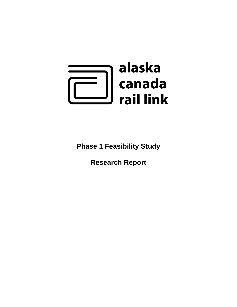

**Phase 1 Feasibility Study** 

**Research Report**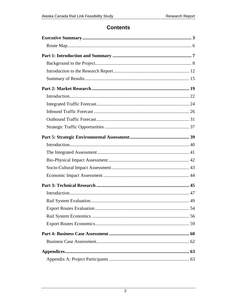# **Contents**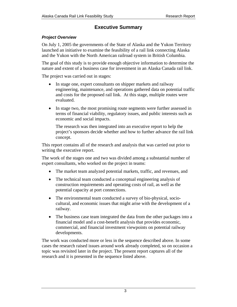# **Executive Summary**

### <span id="page-2-0"></span>*Project Overview*

On July 1, 2005 the governments of the State of Alaska and the Yukon Territory launched an initiative to examine the feasibility of a rail link connecting Alaska and the Yukon with the North American railroad system in British Columbia.

The goal of this study is to provide enough objective information to determine the nature and extent of a business case for investment in an Alaska Canada rail link.

The project was carried out in stages:

- In stage one, expert consultants on shipper markets and railway engineering, maintenance, and operations gathered data on potential traffic and costs for the proposed rail link. At this stage, multiple routes were evaluated.
- In stage two, the most promising route segments were further assessed in terms of financial viability, regulatory issues, and public interests such as economic and social impacts.

The research was then integrated into an executive report to help the project's sponsors decide whether and how to further advance the rail link concept.

This report contains all of the research and analysis that was carried out prior to writing the executive report.

The work of the stages one and two was divided among a substantial number of expert consultants, who worked on the project in teams:

- The market team analyzed potential markets, traffic, and revenues, and
- The technical team conducted a conceptual engineering analysis of construction requirements and operating costs of rail, as well as the potential capacity at port connections.
- The environmental team conducted a survey of bio-physical, sociocultural, and economic issues that might arise with the development of a railway.
- The business case team integrated the data from the other packages into a financial model and a cost-benefit analysis that provides economic, commercial, and financial investment viewpoints on potential railway developments.

The work was conducted more or less in the sequence described above. In some cases the research raised issues around work already completed, so on occasion a topic was revisited later in the project. The present report captures all of the research and it is presented in the sequence listed above.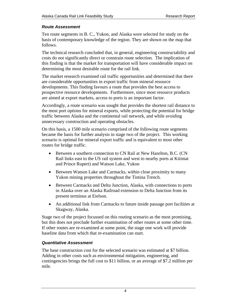### *Route Assessment*

Ten route segments in B. C., Yukon, and Alaska were selected for study on the basis of contemporary knowledge of the region. They are shown on the map that follows.

The technical research concluded that, in general, engineering constructability and costs do not significantly direct or constrain route selection. The implication of this finding is that the market for transportation will have considerable impact on determining the most desirable route for the rail link.

The market research examined rail traffic opportunities and determined that there are considerable opportunities in export traffic from mineral resource developments. This finding favours a route that provides the best access to prospective resource developments. Furthermore, since most resource products are aimed at export markets, access to ports is an important factor.

Accordingly, a route scenario was sought that provides the shortest rail distance to the most port options for mineral exports, while protecting the potential for bridge traffic between Alaska and the continental rail network, and while avoiding unnecessary construction and operating obstacles.

On this basis, a 1500 mile scenario comprised of the following route segments became the basis for further analysis in stage two of the project. This working scenario is optimal for mineral export traffic and is equivalent to most other routes for bridge traffic.

- Between a southern connection to CN Rail at New Hazelton, B.C. (CN Rail links east to the US rail system and west to nearby ports at Kitimat and Prince Rupert) and Watson Lake, Yukon
- Between Watson Lake and Carmacks, within close proximity to many Yukon mining properties throughout the Tintina Trench.
- Between Carmacks and Delta Junction, Alaska, with connections to ports in Alaska over an Alaska Railroad extension to Delta Junction from its present terminus at Eielson.
- An additional link from Carmacks to future inside passage port facilities at Skagway, Alaska.

Stage two of the project focussed on this routing scenario as the most promising, but this does not preclude further examination of other routes at some other time. If other routes are re-examined at some point, the stage one work will provide baseline data from which that re-examination can start.

### *Quantitative Assessment*

The base construction cost for the selected scenario was estimated at \$7 billion. Adding in other costs such as environmental mitigation, engineering, and contingencies brings the full cost to \$11 billion, or an average of \$7.2 million per mile.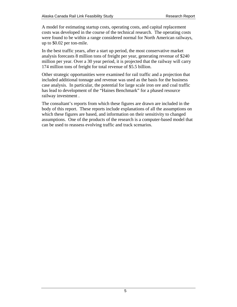A model for estimating startup costs, operating costs, and capital replacement costs was developed in the course of the technical research. The operating costs were found to be within a range considered normal for North American railways, up to \$0.02 per ton-mile.

In the best traffic years, after a start up period, the most conservative market analysis forecasts 8 million tons of freight per year, generating revenue of \$240 million per year. Over a 30 year period, it is projected that the railway will carry 174 million tons of freight for total revenue of \$5.5 billion.

Other strategic opportunities were examined for rail traffic and a projection that included additional tonnage and revenue was used as the basis for the business case analysis. In particular, the potential for large scale iron ore and coal traffic has lead to development of the "Haines Benchmark" for a phased resource railway investment .

The consultant's reports from which these figures are drawn are included in the body of this report. These reports include explanations of all the assumptions on which these figures are based, and information on their sensitivity to changed assumptions. One of the products of the research is a computer-based model that can be used to reassess evolving traffic and track scenarios.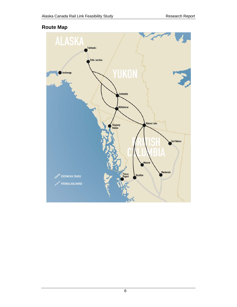# <span id="page-5-0"></span>**Route Map**

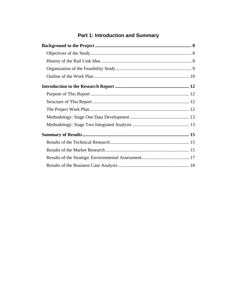# **Part 1: Introduction and Summary**

<span id="page-6-0"></span>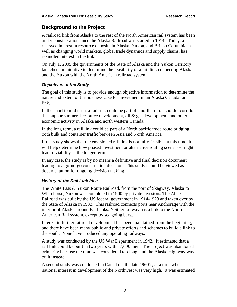# <span id="page-7-0"></span>**Background to the Project**

A railroad link from Alaska to the rest of the North American rail system has been under consideration since the Alaska Railroad was started in 1914. Today, a renewed interest in resource deposits in Alaska, Yukon, and British Columbia, as well as changing world markets, global trade dynamics and supply chains, has rekindled interest in the link.

On July 1, 2005 the governments of the State of Alaska and the Yukon Territory launched an initiative to determine the feasibility of a rail link connecting Alaska and the Yukon with the North American railroad system.

# *Objectives of the Study*

The goal of this study is to provide enough objective information to determine the nature and extent of the business case for investment in an Alaska Canada rail link.

In the short to mid term, a rail link could be part of a northern transborder corridor that supports mineral resource development, oil  $\&$  gas development, and other economic activity in Alaska and north western Canada.

In the long term, a rail link could be part of a North pacific trade route bridging both bulk and container traffic between Asia and North America.

If the study shows that the envisioned rail link is not fully feasible at this time, it will help determine how phased investment or alternative routing scenarios might lead to viability in the longer term.

In any case, the study is by no means a definitive and final decision document leading to a go-no-go construction decision. This study should be viewed as documentation for ongoing decision making

# *History of the Rail Link Idea*

The White Pass & Yukon Route Railroad, from the port of Skagway, Alaska to Whitehorse, Yukon was completed in 1900 by private investors. The Alaska Railroad was built by the US federal government in 1914-1923 and taken over by the State of Alaska in 1983. This railroad connects ports near Anchorage with the interior of Alaska around Fairbanks. Neither railway has a link to the North American Rail system, except by sea going barge.

Interest in further railroad development has been maintained from the beginning, and there have been many public and private efforts and schemes to build a link to the south. None have produced any operating railways.

A study was conducted by the US War Department in 1942. It estimated that a rail link could be built in two years with 17,000 men. The project was abandoned primarily because the time was considered too long, and the Alaska Highway was built instead.

A second study was conducted in Canada in the late 1960's, at a time when national interest in development of the Northwest was very high. It was estimated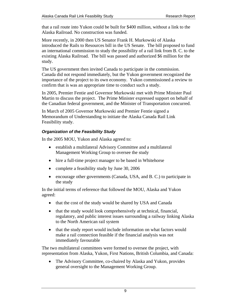<span id="page-8-0"></span>that a rail route into Yukon could be built for \$400 million, without a link to the Alaska Railroad. No construction was funded.

More recently, in 2000 then US Senator Frank H. Murkowski of Alaska introduced the Rails to Resources bill in the US Senate. The bill proposed to fund an international commission to study the possibility of a rail link from B. C. to the existing Alaska Railroad. The bill was passed and authorized \$6 million for the study.

The US government then invited Canada to participate in the commission. Canada did not respond immediately, but the Yukon government recognized the importance of the project to its own economy. Yukon commissioned a review to confirm that is was an appropriate time to conduct such a study.

In 2005, Premier Fentie and Governor Murkowski met with Prime Minister Paul Martin to discuss the project. The Prime Minister expressed support on behalf of the Canadian federal government, and the Minister of Transportation concurred.

In March of 2005 Governor Murkowski and Premier Fentie signed a Memorandum of Understanding to initiate the Alaska Canada Rail Link Feasibility study.

# *Organization of the Feasibility Study*

In the 2005 MOU, Yukon and Alaska agreed to:

- establish a multilateral Advisory Committee and a multilateral Management Working Group to oversee the study
- hire a full-time project manager to be based in Whitehorse
- complete a feasibility study by June 30, 2006
- encourage other governments (Canada, USA, and B. C.) to participate in the study

In the initial terms of reference that followed the MOU, Alaska and Yukon agreed:

- that the cost of the study would be shared by USA and Canada
- that the study would look comprehensively at technical, financial, regulatory, and public interest issues surrounding a railway linking Alaska to the North American rail system
- that the study report would include information on what factors would make a rail connection feasible if the financial analysis was not immediately favourable

The two multilateral committees were formed to oversee the project, with representation from Alaska, Yukon, First Nations, British Columbia, and Canada:

• The Advisory Committee, co-chaired by Alaska and Yukon, provides general oversight to the Management Working Group.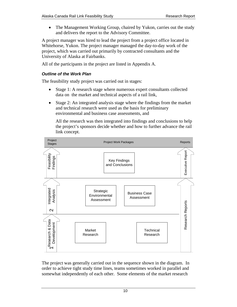<span id="page-9-0"></span>• The Management Working Group, chaired by Yukon, carries out the study and delivers the report to the Advisory Committee.

A project manager was hired to lead the project from a project office located in Whitehorse, Yukon. The project manager managed the day-to-day work of the project, which was carried out primarily by contracted consultants and the University of Alaska at Fairbanks.

All of the participants in the project are listed in Appendix A.

### *Outline of the Work Plan*

The feasibility study project was carried out in stages:

- Stage 1: A research stage where numerous expert consultants collected data on the market and technical aspects of a rail link,
- Stage 2: An integrated analysis stage where the findings from the market and technical research were used as the basis for preliminary environmental and business case assessments, and

All the research was then integrated into findings and conclusions to help the project's sponsors decide whether and how to further advance the rail link concept.



The project was generally carried out in the sequence shown in the diagram. In order to achieve tight study time lines, teams sometimes worked in parallel and somewhat independently of each other. Some elements of the market research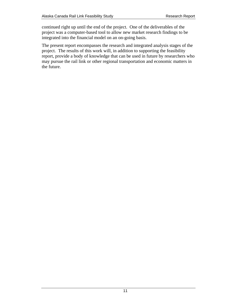continued right up until the end of the project. One of the deliverables of the project was a computer-based tool to allow new market research findings to be integrated into the financial model on an on-going basis.

The present report encompasses the research and integrated analysis stages of the project. The results of this work will, in addition to supporting the feasibility report, provide a body of knowledge that can be used in future by researchers who may pursue the rail link or other regional transportation and economic matters in the future.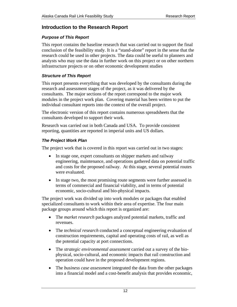# <span id="page-11-0"></span>**Introduction to the Research Report**

#### *Purpose of This Report*

This report contains the baseline research that was carried out to support the final conclusion of the feasibility study. It is a "stand-alone" report in the sense that the research could be used in other projects. The data could be useful to planners and analysts who may use the data in further work on this project or on other northern infrastructure projects or on other economic development studies

#### *Structure of This Report*

This report presents everything that was developed by the consultants during the research and assessment stages of the project, as it was delivered by the consultants. The major sections of the report correspond to the major work modules in the project work plan. Covering material has been written to put the individual consultant reports into the context of the overall project.

The electronic version of this report contains numerous spreadsheets that the consultants developed to support their work.

Research was carried out in both Canada and USA. To provide consistent reporting, quantities are reported in imperial units and US dollars.

#### *The Project Work Plan*

The project work that is covered in this report was carried out in two stages:

- In stage one, expert consultants on shipper markets and railway engineering, maintenance, and operations gathered data on potential traffic and costs for the proposed railway. At this stage, several potential routes were evaluated.
- In stage two, the most promising route segments were further assessed in terms of commercial and financial viability, and in terms of potential economic, socio-cultural and bio-physical impacts.

The project work was divided up into work modules or packages that enabled specialized consultants to work within their area of expertise. The four main package groups around which this report is organized are:

- The *market research* packages analyzed potential markets, traffic and revenues.
- The *technical research* conducted a conceptual engineering evaluation of construction requirements, capital and operating costs of rail, as well as the potential capacity at port connections.
- The *strategic environmental assessment* carried out a survey of the biophysical, socio-cultural, and economic impacts that rail construction and operation could have in the proposed development regions.
- The *business case assessment* integrated the data from the other packages into a financial model and a cost-benefit analysis that provides economic,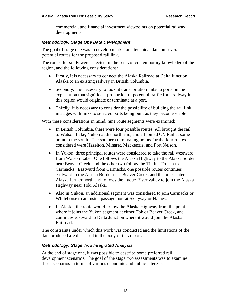commercial, and financial investment viewpoints on potential railway developments.

#### <span id="page-12-0"></span>*Methodology: Stage One Data Development*

The goal of stage one was to develop market and technical data on several potential routes for the proposed rail link.

The routes for study were selected on the basis of contemporary knowledge of the region, and the following considerations:

- Firstly, it is necessary to connect the Alaska Railroad at Delta Junction, Alaska to an existing railway in British Columbia.
- Secondly, it is necessary to look at transportation links to ports on the expectation that significant proportion of potential traffic for a railway in this region would originate or terminate at a port.
- Thirdly, it is necessary to consider the possibility of building the rail link in stages with links to selected ports being built as they become viable.

With these considerations in mind, nine route segments were examined:

- In British Columbia, there were four possible routes. All brought the rail to Watson Lake, Yukon at the north end, and all joined CN Rail at some point in the south. The southern terminating points for the four routes considered were Hazelton, Minaret, Mackenzie, and Fort Nelson.
- In Yukon, three principal routes were considered to take the rail westward from Watson Lake. One follows the Alaska Highway to the Alaska border near Beaver Creek, and the other two follow the Tintina Trench to Carmacks. Eastward from Carmacks, one possible routes continues eastward to the Alaska Border near Beaver Creek, and the other enters Alaska further north and follows the Ladue River valley to join the Alaska Highway near Tok, Alaska.
- Also in Yukon, an additional segment was considered to join Carmacks or Whitehorse to an inside passage port at Skagway or Haines.
- In Alaska, the route would follow the Alaska Highway from the point where it joins the Yukon segment at either Tok or Beaver Creek, and continues eastward to Delta Junction where it would join the Alaska Railroad.

The constraints under which this work was conducted and the limitations of the data produced are discussed in the body of this report.

### *Methodology: Stage Two Integrated Analysis*

At the end of stage one, it was possible to describe some preferred rail development scenarios. The goal of the stage two assessments was to examine those scenarios in terms of various economic and public interests.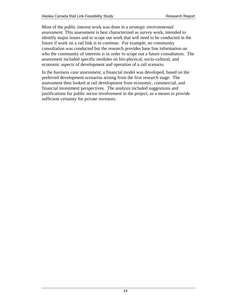Most of the public interest work was done in a *strategic environmental assessment*. This assessment is best characterized as survey work, intended to identify major issues and to scope out work that will need to be conducted in the future if work on a rail link is to continue. For example, no community consultation was conducted but the research provides base line information on who the community of interests is in order to scope out a future consultation. The assessment included specific modules on bio-physical, socio-cultural, and economic aspects of development and operation of a rail scenario.

In the *business case assessment*, a financial model was developed, based on the preferred development scenarios arising from the first research stage. The assessment then looked at rail development from economic, commercial, and financial investment perspectives. The analysis included suggestions and justifications for public sector involvement in the project, as a means to provide sufficient certainty for private investors.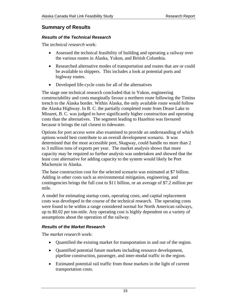# <span id="page-14-0"></span>**Summary of Results**

#### *Results of the Technical Research*

The *technical research* work:

- Assessed the technical feasibility of building and operating a railway over the various routes in Alaska, Yukon, and British Columbia.
- Researched alternative modes of transportation and routes that are or could be available to shippers. This includes a look at potential ports and highway routes.
- Developed life-cycle costs for all of the alternatives

The stage one technical research concluded that in Yukon, engineering constructability and costs marginally favour a northern route following the Tintina trench to the Alaska border. Within Alaska, the only available route would follow the Alaska Highway. In B. C. the partially completed route from Dease Lake to Minaret, B. C. was judged to have significantly higher construction and operating costs than the alternatives. The segment leading to Hazelton was favoured because it brings the rail closest to tidewater.

Options for port access were also examined to provide an understanding of which options would best contribute to an overall development scenario. It was determined that the most accessible port, Skagway, could handle no more than 2 to 3 million tons of exports per year. The market analysis shows that more capacity may be required so further analysis was undertaken and showed that the least cost alternative for adding capacity to the system would likely be Port Mackenzie in Alaska.

The base construction cost for the selected scenario was estimated at \$7 billion. Adding in other costs such as environmental mitigation, engineering, and contingencies brings the full cost to \$11 billion, or an average of \$7.2 million per mile.

A model for estimating startup costs, operating costs, and capital replacement costs was developed in the course of the technical research. The operating costs were found to be within a range considered normal for North American railways, up to \$0.02 per ton-mile. Any operating cost is highly dependent on a variety of assumptions about the operation of the railway.

### *Results of the Market Research*

The *market research* work:

- Quantified the existing market for transportation in and out of the region.
- Quantified potential future markets including resource development, pipeline construction, passenger, and inter-modal traffic in the region.
- Estimated potential rail traffic from those markets in the light of current transportation costs.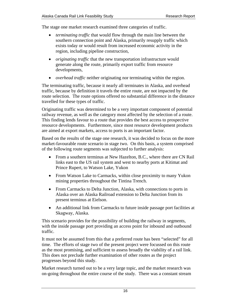The stage one market research examined three categories of traffic.

- *terminating traffic* that would flow through the main line between the southern connection point and Alaska, primarily resupply traffic which exists today or would result from increased economic activity in the region, including pipeline construction,
- *originating traffic* that the new transportation infrastructure would generate along the route, primarily export traffic from resource developments,
- *overhead traffic* neither originating nor terminating within the region.

The terminating traffic, because it nearly all terminates in Alaska, and overhead traffic, because by definition it travels the entire route, are not impacted by the route selection. The route options offered no substantial difference in the distance travelled for these types of traffic.

Originating traffic was determined to be a very important component of potential railway revenue, as well as the category most affected by the selection of a route. This finding lends favour to a route that provides the best access to prospective resource developments. Furthermore, since most resource development products are aimed at export markets, access to ports is an important factor.

Based on the results of the stage one research, it was decided to focus on the more market-favourable route scenario in stage two. On this basis, a system comprised of the following route segments was subjected to further analysis:

- From a southern terminus at New Hazelton, B.C., where there are CN Rail links east to the US rail system and west to nearby ports at Kitimat and Prince Rupert, to Watson Lake, Yukon
- From Watson Lake to Carmacks, within close proximity to many Yukon mining properties throughout the Tintina Trench.
- From Carmacks to Delta Junction, Alaska, with connections to ports in Alaska over an Alaska Railroad extension to Delta Junction from its present terminus at Eielson.
- An additional link from Carmacks to future inside passage port facilities at Skagway, Alaska.

This scenario provides for the possibility of building the railway in segments, with the inside passage port providing an access point for inbound and outbound traffic.

It must not be assumed from this that a preferred route has been "selected" for all time. The efforts of stage two of the present project were focussed on this route as the most promising, and sufficient to assess broadly the viability of a rail link. This does not preclude further examination of other routes as the project progresses beyond this study.

Market research turned out to be a very large topic, and the market research was on-going throughout the entire course of the study. There was a constant stream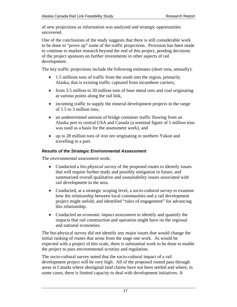<span id="page-16-0"></span>of new projections as information was analyzed and strategic opportunities uncovered.

One of the conclusions of the study suggests that there is still considerable work to be done to "prove up" some of the traffic projections. Provision has been made to continue to market research beyond the end of this project, pending decisions of the project sponsors on further investments in other aspects of rail development.

The key traffic projections include the following estimates (short tons, annually):

- 1.5 millions tons of traffic from the south into the region, primarily Alaska, that is existing traffic captured from incumbent carriers,
- from 3.5 million to 20 million tons of base metal ores and coal originating at various points along the rail link,
- incoming traffic to supply the mineral development projects in the range of 1.5 to 3 million tons,
- an undetermined amount of bridge container traffic flowing from an Alaska port to central USA and Canada (a nominal figure of 5 million tons was used as a basis for the assessment work), and
- up to 28 million tons of iron ore originating in northern Yukon and travelling to a port.

## *Results of the Strategic Environmental Assessment*

The *environmental assessment* work:

- Conducted a *bio-physical survey* of the proposed routes to identify issues that will require further study and possibly mitigation in future, and summarized overall qualitative and sustainability issues associated with rail development in the area.
- Conducted, at a strategic scoping level, a *socio-cultural survey* to examine how the relationship between local communities and a rail development project might unfold, and identified "rules of engagement" for advancing this relationship.
- Conducted an *economic impact assessment* to identify and quantify the impacts that rail construction and operation might have on the regional and national economies.

The bio-physical survey did not identify any major issues that would change the initial ranking of routes that arose from the stage one work. As would be expected with a project of this scale, there is substantial work to be done to enable the project to pass environmental scrutiny and regulation.

The socio-cultural survey noted that the socio-cultural impact of a rail development project will be very high. All of the proposed routed pass through areas in Canada where aboriginal land claims have not been settled and where, in some cases, there is limited capacity to deal with development initiatives. A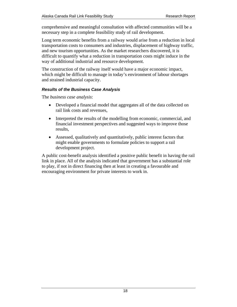<span id="page-17-0"></span>comprehensive and meaningful consultation with affected communities will be a necessary step in a complete feasibility study of rail development.

Long term economic benefits from a railway would arise from a reduction in local transportation costs to consumers and industries, displacement of highway traffic, and new tourism opportunities. As the market researchers discovered, it is difficult to quantify what a reduction in transportation costs might induce in the way of additional industrial and resource development.

The construction of the railway itself would have a major economic impact, which might be difficult to manage in today's environment of labour shortages and strained industrial capacity.

### *Results of the Business Case Analysis*

The *business case analysis*:

- Developed a financial model that aggregates all of the data collected on rail link costs and revenues,
- Interpreted the results of the modelling from economic, commercial, and financial investment perspectives and suggested ways to improve those results,
- Assessed, qualitatively and quantitatively, public interest factors that might enable governments to formulate policies to support a rail development project.

A public cost-benefit analysis identified a positive public benefit in having the rail link in place. All of the analysis indicated that government has a substantial role to play, if not in direct financing then at least in creating a favourable and encouraging environment for private interests to work in.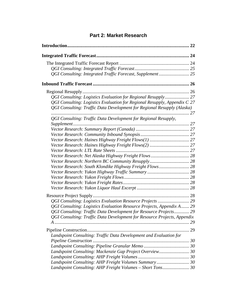# **Part 2: Market Research**

<span id="page-18-0"></span>

| QGI Consulting: Logistics Evaluation for Regional Resupply, Appendix C 27 |    |
|---------------------------------------------------------------------------|----|
| QGI Consulting: Traffic Data Development for Regional Resupply (Alaska)   |    |
| QGI Consulting: Traffic Data Development for Regional Resupply,           |    |
|                                                                           |    |
|                                                                           |    |
|                                                                           |    |
|                                                                           |    |
|                                                                           |    |
|                                                                           |    |
|                                                                           |    |
|                                                                           |    |
| Vector Research: South Klondike Highway Freight Flows 28                  |    |
|                                                                           |    |
|                                                                           |    |
|                                                                           |    |
|                                                                           |    |
|                                                                           |    |
| QGI Consulting: Logistics Evaluation Resource Projects  29                |    |
| QGI Consulting: Logistics Evaluation Resource Projects, Appendix A 29     |    |
| QGI Consulting: Traffic Data Development for Resource Projects 29         |    |
| QGI Consulting: Traffic Data Development for Resource Projects, Appendix  |    |
|                                                                           |    |
|                                                                           | 29 |
| Landspoint Consulting: Traffic Data Development and Evaluation for        |    |
|                                                                           |    |
|                                                                           |    |
| Landspoint Consulting: Mackenzie Gap Project Overview 30                  |    |
|                                                                           |    |
| Landspoint Consulting: AHP Freight Volumes Summary 30                     |    |
| Landspoint Consulting: AHP Freight Volumes - Short Tons 30                |    |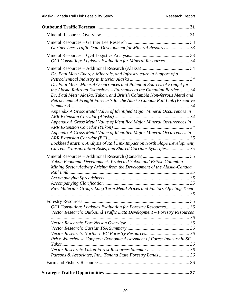| Gartner Lee: Traffic Data Development for Mineral Resources 33                                                                                                                                                                                                                                                                                                                                                                                                                                                                                                                                                                                                                                                                                                   |
|------------------------------------------------------------------------------------------------------------------------------------------------------------------------------------------------------------------------------------------------------------------------------------------------------------------------------------------------------------------------------------------------------------------------------------------------------------------------------------------------------------------------------------------------------------------------------------------------------------------------------------------------------------------------------------------------------------------------------------------------------------------|
| QGI Consulting: Logistics Evaluation for Mineral Resources 34                                                                                                                                                                                                                                                                                                                                                                                                                                                                                                                                                                                                                                                                                                    |
| Dr. Paul Metz: Energy, Minerals, and Infrastructure in Support of a<br>Dr. Paul Metz: Mineral Occurrences and Potential Sources of Freight for<br>the Alaska Railroad Extensions – Fairbanks to the Canadian Border 34<br>Dr. Paul Metz: Alaska, Yukon, and British Columbia Non-ferrous Metal and<br>Petrochemical Freight Forecasts for the Alaska Canada Rail Link (Executive<br>Appendix A Gross Metal Value of Identified Major Mineral Occurrences in<br>Appendix A Gross Metal Value of Identified Major Mineral Occurrences in<br>Appendix A Gross Metal Value of Identified Major Mineral Occurrences in<br>Lockheed Martin: Analysis of Rail Link Impact on North Slope Development,<br>Current Transportation Risks, and Shared Corridor Synergies 35 |
| Yukon Economic Development: Projected Yukon and British Columbia<br>Mining Sector Activity Arising from the Development of the Alaska-Canada                                                                                                                                                                                                                                                                                                                                                                                                                                                                                                                                                                                                                     |
| Raw Materials Group: Long Term Metal Prices and Factors Affecting Them                                                                                                                                                                                                                                                                                                                                                                                                                                                                                                                                                                                                                                                                                           |
|                                                                                                                                                                                                                                                                                                                                                                                                                                                                                                                                                                                                                                                                                                                                                                  |
| QGI Consulting: Logistics Evaluation for Forestry Resources 36<br>Vector Research: Outbound Traffic Data Development - Forestry Resources                                                                                                                                                                                                                                                                                                                                                                                                                                                                                                                                                                                                                        |
| Price Waterhouse Coopers: Economic Assessment of Forest Industry in SE                                                                                                                                                                                                                                                                                                                                                                                                                                                                                                                                                                                                                                                                                           |
| Parsons & Associates, Inc.: Tanana State Forestry Lands 36                                                                                                                                                                                                                                                                                                                                                                                                                                                                                                                                                                                                                                                                                                       |
|                                                                                                                                                                                                                                                                                                                                                                                                                                                                                                                                                                                                                                                                                                                                                                  |
|                                                                                                                                                                                                                                                                                                                                                                                                                                                                                                                                                                                                                                                                                                                                                                  |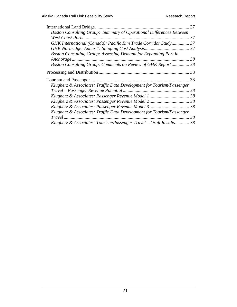| 37                                                                    |  |
|-----------------------------------------------------------------------|--|
| Boston Consulting Group: Summary of Operational Differences Between   |  |
| 37                                                                    |  |
| GHK International (Canada): Pacific Rim Trade Corridor Study 37       |  |
|                                                                       |  |
| Boston Consulting Group: Assessing Demand for Expanding Port in       |  |
|                                                                       |  |
| Boston Consulting Group: Comments on Review of GHK Report  38         |  |
|                                                                       |  |
| 38                                                                    |  |
| Klugherz & Associates: Traffic Data Development for Tourism/Passenger |  |
|                                                                       |  |
|                                                                       |  |
|                                                                       |  |
|                                                                       |  |
| Klugherz & Associates: Traffic Data Development for Tourism/Passenger |  |
| 38                                                                    |  |
| Klugherz & Associates: Tourism/Passenger Travel - Draft Results 38    |  |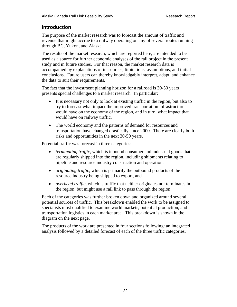# <span id="page-21-0"></span>**Introduction**

The purpose of the market research was to forecast the amount of traffic and revenue that might accrue to a railway operating on any of several routes running through BC, Yukon, and Alaska.

The results of the market research, which are reported here, are intended to be used as a source for further economic analyses of the rail project in the present study and in future studies. For that reason, the market research data is accompanied by explanations of its sources, limitations, assumptions, and initial conclusions. Future users can thereby knowledgably interpret, adapt, and enhance the data to suit their requirements.

The fact that the investment planning horizon for a railroad is 30-50 years presents special challenges to a market research. In particular:

- It is necessary not only to look at existing traffic in the region, but also to try to forecast what impact the improved transportation infrastructure would have on the economy of the region, and in turn, what impact that would have on railway traffic.
- The world economy and the patterns of demand for resources and transportation have changed drastically since 2000. There are clearly both risks and opportunities in the next 30-50 years.

Potential traffic was forecast in three categories:

- *terminating traffic,* which is inbound consumer and industrial goods that are regularly shipped into the region, including shipments relating to pipeline and resource industry construction and operation,
- *originating traffic,* which is primarily the outbound products of the resource industry being shipped to export, and
- *overhead traffic,* which is traffic that neither originates nor terminates in the region, but might use a rail link to pass through the region.

Each of the categories was further broken down and organized around several potential sources of traffic. This breakdown enabled the work to be assigned to specialists most qualified to examine world markets, potential production, and transportation logistics in each market area. This breakdown is shown in the diagram on the next page.

The products of the work are presented in four sections following: an integrated analysis followed by a detailed forecast of each of the three traffic categories.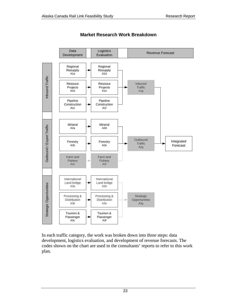

## **Market Research Work Breakdown**

In each traffic category, the work was broken down into three steps: data development, logistics evaluation, and development of revenue forecasts. The codes shown on the chart are used in the consultants' reports to refer to this work plan.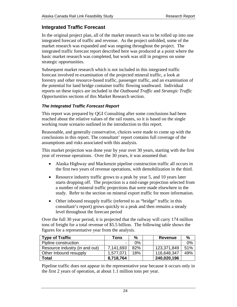# <span id="page-23-0"></span>**Integrated Traffic Forecast**

In the original project plan, all of the market research was to be rolled up into one integrated forecast of traffic and revenue. As the project unfolded, some of the market research was expanded and was ongoing throughout the project. The integrated traffic forecast report described here was produced at a point where the basic market research was completed, but work was still in progress on some strategic opportunities.

Subsequent market research which is not included in this integrated traffic forecast involved re-examination of the projected mineral traffic, a look at forestry and other resource-based traffic, passenger traffic, and an examination of the potential for land bridge container traffic flowing southward. Individual reports on these topics are included in the *Outbound Traffic* and *Strategic Traffic Opportunities* sections of this Market Research section.

### *The Integrated Traffic Forecast Report*

This report was prepared by QGI Consulting after some conclusions had been reached about the relative values of the rail routes, so it is based on the single working route scenario outlined in the introduction to this report.

Reasonable, and generally conservative, choices were made to come up with the conclusions in this report. The consultant' report contains full coverage of the assumptions and risks associated with this analysis.

This market projection was done year by year over 30 years, starting with the first year of revenue operations. Over the 30 years, it was assumed that:

- Alaska Highway and Mackenzie pipeline construction traffic all occurs in the first two years of revenue operations, with demobilization in the third.
- Resource industry traffic grows to a peak by year 5, and 10 years later starts dropping off. The projection is a mid-range projection selected from a number of mineral traffic projections that were made elsewhere in the study. Refer to the section on mineral export traffic for more information.
- Other inbound resupply traffic (referred to as "bridge" traffic in this consultant's report) grows quickly to a peak and then remains a steady level throughout the forecast period

Over the full 30 year period, it is projected that the railway will carry 174 million tons of freight for a total revenue of \$5.5 billion. The following table shows the figures for a representative year from the analysis.

| <b>Type of Traffic</b>         | Tons      | $\frac{0}{0}$ | <b>Revenue</b> | %   |
|--------------------------------|-----------|---------------|----------------|-----|
| Pipline construction           |           | 0%            |                | 0%  |
| Resource industry (in and out) | 7,141,693 | 82%           | 123,371,849    | 51% |
| Other Inbound resupply         | 1.577.071 | 18%           | 116,648,347    | 49% |
| Total                          | 8,718,764 |               | 240,020,196    |     |

Pipeline traffic does not appear in the representative year because it occurs only in the first 2 years of operation, at about 1.1 million tons per year.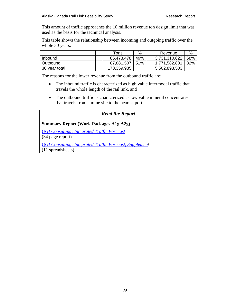<span id="page-24-0"></span>This amount of traffic approaches the 10 million revenue ton design limit that was used as the basis for the technical analysis.

This table shows the relationship between incoming and outgoing traffic over the whole 30 years:

|               | Tons        | $\%$ | Revenue       | %   |
|---------------|-------------|------|---------------|-----|
| Inbound       | 85,478,478  | 49%  | 3,731,310,622 | 68% |
| Outbound      | 87,881,507  | 151% | 1,771,582,881 | 32% |
| 30 year total | 173,359,985 |      | 5,502,893,503 |     |

The reasons for the lower revenue from the outbound traffic are:

- The inbound traffic is characterized as high value intermodal traffic that travels the whole length of the rail link, and
- The outbound traffic is characterized as low value mineral concentrates that travels from a mine site to the nearest port.

### *Read the Report*

### **Summary Report (Work Packages A1g A2g)**

*[QGI Consulting: Integrated Traffic Forecast](http://assets.yukonarchives.ca/PAM_2006_0473.pdf)* (34 page report)

*[QGI Consulting: Integrated Traffic Forecast, Supplement](http://assets.yukonarchives.ca/PAM_2006_0473x.xlsx)*  (11 spreadsheets)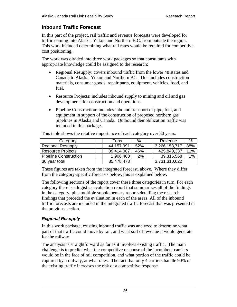# <span id="page-25-0"></span>**Inbound Traffic Forecast**

In this part of the project, rail traffic and revenue forecasts were developed for traffic coming into Alaska, Yukon and Northern B.C. from outside the region. This work included determining what rail rates would be required for competitive cost positioning.

The work was divided into three work packages so that consultants with appropriate knowledge could be assigned to the research:

- Regional Resupply: covers inbound traffic from the lower 48 states and Canada to Alaska, Yukon and Northern BC. This includes construction materials, consumer goods, repair parts, equipment, vehicles, food, and fuel.
- Resource Projects: includes inbound supply to mining and oil and gas developments for construction and operations.
- Pipeline Construction: includes inbound transport of pipe, fuel, and equipment in support of the construction of proposed northern gas pipelines in Alaska and Canada. Outbound demobilization traffic was included in this package.

| Category                     | Tons       | $\%$ | Revenue       | %   |
|------------------------------|------------|------|---------------|-----|
| <b>Regional Resupply</b>     | 44,157,991 | 52%  | 3,266,153,717 | 88% |
| <b>Resource Projects</b>     | 39,414,087 | 46%  | 425,840,337   | 11% |
| <b>Pipeline Construction</b> | 1,906,400  | 2%   | 39,316,568    | 1%  |
| 30 year total                | 85,478,478 |      | 3,731,310,622 |     |

This table shows the relative importance of each category over 30 years:

These figures are taken from the integrated forecast, above. Where they differ from the category-specific forecasts below, this is explained below.

The following sections of the report cover these three categories in turn. For each category there is a logistics evaluation report that summarizes all of the findings in the category, plus multiple supplementary reports detailing the research findings that preceded the evaluation in each of the areas. All of the inbound traffic forecasts are included in the integrated traffic forecast that was presented in the previous section.

# *Regional Resupply*

In this work package, existing inbound traffic was analyzed to determine what part of that traffic could move by rail, and what sort of revenue it would generate for the railway.

The analysis is straightforward as far as it involves existing traffic. The main challenge is to predict what the competitive response of the incumbent carriers would be in the face of rail competition, and what portion of the traffic could be captured by a railway, at what rates. The fact that only 4 carriers handle 90% of the existing traffic increases the risk of a competitive response.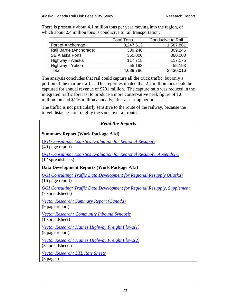|                        | <b>Total Tons</b> | <b>Conducive to Rail</b> |
|------------------------|-------------------|--------------------------|
| Port of Anchorage      | 3,247,613         | 1,587,861                |
| Rail Barge (Anchorage) | 309,246           | 309,246                  |
| <b>SE Alaska Ports</b> | 360,000           | 360,000                  |
| Highway - Alaska       | 117,715           | 117,175                  |
| Highway - Yukon        | 55,193            | 55,193                   |
| Total                  | 4,089,786         | 2,430,016                |

<span id="page-26-0"></span>There is presently about 4.1 million tons per year moving into the region, of which about 2.4 million tons is conducive to rail transportation:

The analysis concludes that rail could capture all the truck traffic, but only a portion of the marine traffic. This report estimated that 2.2 million tons could be captured for annual revenue of \$201 million. The capture ratio was reduced in the integrated traffic forecast to produce a more conservative peak figure of 1.6 million ton and \$116 million annually, after a start up period.

The traffic is not particularly sensitive to the route of the railway, because the travel distances are roughly the same over all routes.

| <b>Read the Reports</b>                                                                                      |
|--------------------------------------------------------------------------------------------------------------|
| <b>Summary Report (Work Package A1d)</b>                                                                     |
| <b>QGI Consulting: Logistics Evaluation for Regional Resupply</b><br>$(40$ page report)                      |
| <u> OGI Consulting: Logistics Evaluation for Regional Resupply, Appendix C</u><br>(17 spreadsheets)          |
| Data Development Reports (Work Package A1a)                                                                  |
| <b>QGI Consulting: Traffic Data Development for Regional Resupply (Alaska)</b><br>$(16 \text{ page report})$ |
| <b>OGI Consulting: Traffic Data Development for Regional Resupply, Supplement</b><br>(7 spreadsheets)        |
| <b>Vector Research: Summary Report (Canada)</b><br>(9 page report)                                           |
| <b>Vector Research: Community Inbound Synopsis</b><br>(1 spreadsheet)                                        |
| <b>Vector Research: Haines Highway Freight Flows(1)</b><br>(8 page report)                                   |
| <b>Vector Research: Haines Highway Freight Flows(2)</b><br>(3 spreadsheets)                                  |
| <b>Vector Research: LTL Rate Sheets</b><br>$(3 \text{ pages})$                                               |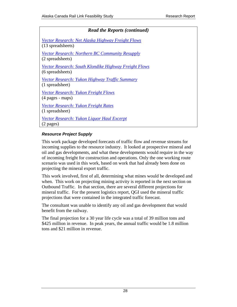<span id="page-27-0"></span>

| <b>Read the Reports (continued)</b>                                              |
|----------------------------------------------------------------------------------|
| Vector Research: Net Alaska Highway Freight Flows<br>(13 spreadsheets)           |
| <b>Vector Research: Northern BC Community Resupply</b><br>(2 spreadsheets)       |
| <u>Vector Research: South Klondike Highway Freight Flows</u><br>(6 spreadsheets) |
| Vector Research: Yukon Highway Traffic Summary<br>(1 spreadsheet)                |
| <u>Vector Research: Yukon Freight Flows</u><br>(4 pages - maps)                  |
| Vector Research: Yukon Freight Rates<br>(1 spreadsheet)                          |
| <b>Vector Research: Yukon Liquor Haul Excerpt</b><br>$(2 \text{ pages})$         |

# *Resource Project Supply*

This work package developed forecasts of traffic flow and revenue streams for incoming supplies to the resource industry. It looked at prospective mineral and oil and gas developments, and what these developments would require in the way of incoming freight for construction and operations. Only the one working route scenario was used in this work, based on work that had already been done on projecting the mineral export traffic.

This work involved, first of all, determining what mines would be developed and when. This work on projecting mining activity is reported in the next section on Outbound Traffic. In that section, there are several different projections for mineral traffic. For the present logistics report, QGI used the mineral traffic projections that were contained in the integrated traffic forecast.

The consultant was unable to identify any oil and gas development that would benefit from the railway.

The final projection for a 30 year life cycle was a total of 39 million tons and \$425 million in revenue. In peak years, the annual traffic would be 1.8 million tons and \$21 million in revenue.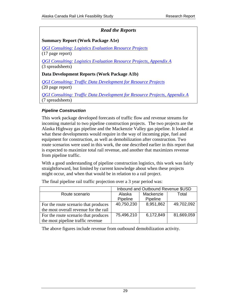# *Read the Reports*

## <span id="page-28-0"></span>**Summary Report (Work Package A1e)**

*[QGI Consulting: Logistics Evaluation Resource Projects](http://assets.yukonarchives.ca/PAM_2006_0469.pdf)* (17 page report)

*[QGI Consulting: Logistics Evaluation Resource Projects, Appendix A](http://assets.yukonarchives.ca/PAM_2006_0469x.xlsx)* (3 spreadsheets)

### **Data Development Reports (Work Package A1b)**

*[QGI Consulting: Traffic Data Development for Resource Projects](http://assets.yukonarchives.ca/PAM_2006_0454.pdf)* (20 page report)

*[QGI Consulting: Traffic Data Development for Resource Projects, Appendix A](http://assets.yukonarchives.ca/PAM_2006_0454x.xlsx)* (7 spreadsheets)

### *Pipeline Construction*

This work package developed forecasts of traffic flow and revenue streams for incoming material to two pipeline construction projects. The two projects are the Alaska Highway gas pipeline and the Mackenzie Valley gas pipeline. It looked at what these developments would require in the way of incoming pipe, fuel and equipment for construction, as well as demobilization after construction. Two route scenarios were used in this work, the one described earlier in this report that is expected to maximize total rail revenue, and another that maximizes revenue from pipeline traffic.

With a good understanding of pipeline construction logistics, this work was fairly straightforward, but limited by current knowledge about when these projects might occur, and when that would be in relation to a rail project.

|                                       | Inbound and Outbound Revenue \$USD |           |            |  |  |
|---------------------------------------|------------------------------------|-----------|------------|--|--|
| Route scenario                        | Alaska                             | Mackenzie | Total      |  |  |
|                                       | Pipeline                           | Pipeline  |            |  |  |
| For the route scenario that produces  | 40,750,230                         | 8,951,862 | 49,702,092 |  |  |
| the most overall revenue for the rail |                                    |           |            |  |  |
| For the route scenario that produces  | 75,496,210                         | 6,172,849 | 81,669,059 |  |  |
| the most pipeline traffic revenue     |                                    |           |            |  |  |

The final pipeline rail traffic projection over a 3 year period was:

The above figures include revenue from outbound demobilization activity.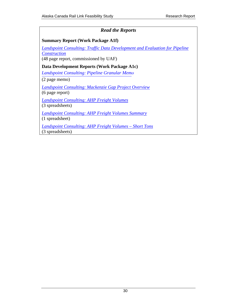# *Read the Reports*

## <span id="page-29-0"></span>**Summary Report (Work Package A1f)**

*[Landspoint Consulting: Traffic Data Development and Evaluation for Pipeline](http://assets.yukonarchives.ca/PAM_2005_0206.pdf) Construction* (48 page report, commissioned by UAF)

**Data Development Reports (Work Package A1c)** 

*Landspoint Consulting: [Pipeline Granular Mem](http://assets.yukonarchives.ca/PAM_2005_0341.pdf)o*

(2 page memo)

*[Landspoint Consulting: Mackenzie Gap Project Overview](http://assets.yukonarchives.ca/PAM_2006_0536.pdf)* (6 page report)

*[Landspoint Consulting: AHP Freight Volumes](http://assets.yukonarchives.ca/PAM_2006_0532.pdf)* (3 spreadsheets)

*[Landspoint Consulting: AHP Freight Volumes Summary](http://assets.yukonarchives.ca/PAM_2006_0533.pdf)*

(1 spreadsheet)

*[Landspoint Consulting: AHP Freight Volumes – Short Tons](http://assets.yukonarchives.ca/PAM_2005_0206x.xlsx)* (3 spreadsheets)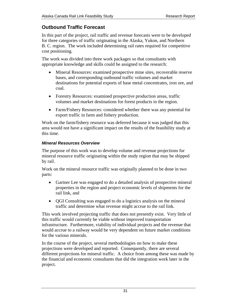# <span id="page-30-0"></span>**Outbound Traffic Forecast**

In this part of the project, rail traffic and revenue forecasts were to be developed for three categories of traffic originating in the Alaska, Yukon, and Northern B. C. region. The work included determining rail rates required for competitive cost positioning.

The work was divided into three work packages so that consultants with appropriate knowledge and skills could be assigned to the research:

- Mineral Resources: examined prospective mine sites, recoverable reserve bases, and corresponding outbound traffic volumes and market destinations for potential exports of base metal concentrates, iron ore, and coal.
- Forestry Resources: examined prospective production areas, traffic volumes and market destinations for forest products in the region.
- Farm/Fishery Resources: considered whether there was any potential for export traffic in farm and fishery production.

Work on the farm/fishery resource was deferred because it was judged that this area would not have a significant impact on the results of the feasibility study at this time.

# *Mineral Resources Overview*

The purpose of this work was to develop volume and revenue projections for mineral resource traffic originating within the study region that may be shipped by rail.

Work on the mineral resource traffic was originally planned to be done in two parts:

- Gartner Lee was engaged to do a detailed analysis of prospective mineral properties in the region and project economic levels of shipments for the rail link, and
- QGI Consulting was engaged to do a logistics analysis on the mineral traffic and determine what revenue might accrue to the rail link.

This work involved projecting traffic that does not presently exist. Very little of this traffic would currently be viable without improved transportation infrastructure. Furthermore, viability of individual projects and the revenue that would accrue to a railway would be very dependent on future market conditions for the various minerals.

In the course of the project, several methodologies on how to make these projections were developed and reported. Consequently, there are several different projections for mineral traffic. A choice from among these was made by the financial and economic consultants that did the integration work later in the project.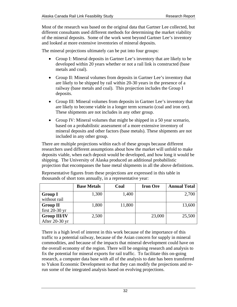Most of the research was based on the original data that Gartner Lee collected, but different consultants used different methods for determining the market viability of the mineral deposits. Some of the work went beyond Gartner Lee's inventory and looked at more extensive inventories of mineral deposits.

The mineral projections ultimately can be put into four groups:

- Group I: Mineral deposits in Gartner Lee's inventory that are likely to be developed within 20 years whether or not a rail link is constructed (base metals and coal).
- Group II: Mineral volumes from deposits in Gartner Lee's inventory that are likely to be shipped by rail within 20-30 years in the presence of a railway (base metals and coal). This projection includes the Group I deposits.
- Group III: Mineral volumes from deposits in Gartner Lee's inventory that are likely to become viable in a longer term scenario (coal and iron ore). These shipments are not includes in any other group.
- Group IV: Mineral volumes that might be shipped in a 50 year scenario, based on a probabilistic assessment of a more extensive inventory of mineral deposits and other factors (base metals). These shipments are not included in any other group.

There are multiple projections within each of these groups because different researchers used different assumptions about how the market will unfold to make deposits viable, when each deposit would be developed, and how long it would be shipping. The University of Alaska produced an additional probabilistic projection that encompasses the base metal shipments in all the above definitions.

|                     | <b>Base Metals</b> | Coal   | <b>Iron Ore</b> | <b>Annual Total</b> |
|---------------------|--------------------|--------|-----------------|---------------------|
| <b>Group I</b>      | 1,300              | 1,400  |                 | 2,700               |
| without rail        |                    |        |                 |                     |
| <b>Group II</b>     | 1,800              | 11,800 |                 | 13,600              |
| first $20-30$ yr    |                    |        |                 |                     |
| <b>Group III/IV</b> | 2,500              |        | 23,000          | 25,500              |
| After 20-30 yr      |                    |        |                 |                     |

Representative figures from these projections are expressed in this table in thousands of short tons annually, in a representative year:

There is a high level of interest in this work because of the importance of this traffic to a potential railway, because of the Asian concern for supply in mineral commodities, and because of the impacts that mineral development could have on the overall economy of the region. There will be ongoing research and analysis to fix the potential for mineral exports for rail traffic. To facilitate this on-going research, a computer data base with all of the analysis to date has been transferred to Yukon Economic Development so that they can modify the projections and rerun some of the integrated analysis based on evolving projections.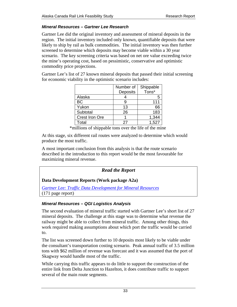## <span id="page-32-0"></span>*Mineral Resources – Gartner Lee Research*

Gartner Lee did the original inventory and assessment of mineral deposits in the region. The initial inventory included only known, quantifiable deposits that were likely to ship by rail as bulk commodities. The initial inventory was then further screened to determine which deposits may become viable within a 30 year scenario. The key screening criteria was based on net ore value exceeding twice the mine's operating cost, based on pessimistic, conservative and optimistic commodity price projections.

Gartner Lee's list of 27 known mineral deposits that passed their initial screening for economic viability in the optimistic scenario includes:

|                       | Number of | Shippable |
|-----------------------|-----------|-----------|
|                       | Deposits  | Tons*     |
| Alaska                |           | 5         |
| <b>BC</b>             |           | 111       |
| Yukon                 | 13        | 66        |
| Subtotal              | 26        | 183       |
| <b>Crest Iron Ore</b> |           | 1,344     |
| Total                 | 27        | 1.527     |

\*millions of shippable tons over the life of the mine

At this stage, six different rail routes were analyzed to determine which would produce the most traffic.

A most important conclusion from this analysis is that the route scenario described in the introduction to this report would be the most favourable for maximizing mineral revenue.

# *Read the Report*

# **Data Development Reports (Work package A2a)**

*[Gartner Lee: Traffic Data Development for Mineral Resources](http://assets.yukonarchives.ca/YAL_003,880.pdf)* (171 page report)

# *Mineral Resources – QGI Logistics Analysis*

The second evaluation of mineral traffic started with Gartner Lee's short list of 27 mineral deposits. The challenge at this stage was to determine what revenue the railway might be able to collect from mineral traffic. Among other things, this work required making assumptions about which port the traffic would be carried to.

The list was screened down further to 10 deposits most likely to be viable under the consultant's transportation costing scenario. Peak annual traffic of 3.5 million tons with \$62 million of revenue was forecast and it was assumed that the port of Skagway would handle most of the traffic.

While carrying this traffic appears to do little to support the construction of the entire link from Delta Junction to Hazelton, it does contribute traffic to support several of the main route segments.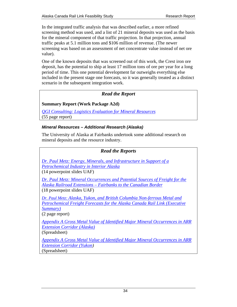<span id="page-33-0"></span>In the integrated traffic analysis that was described earlier, a more refined screening method was used, and a list of 21 mineral deposits was used as the basis for the mineral component of that traffic projection. In that projection, annual traffic peaks at 5.1 million tons and \$106 million of revenue. (The newer screening was based on an assessment of net concentrate value instead of net ore value).

One of the known deposits that was screened out of this work, the Crest iron ore deposit, has the potential to ship at least 17 million tons of ore per year for a long period of time. This one potential development far outweighs everything else included in the present stage one forecasts, so it was generally treated as a distinct scenario in the subsequent integration work.

# *Read the Report*

# **Summary Report (Work Package A2d)**

*[QGI Consulting: Logistics Evaluation for Mineral Resources](http://assets.yukonarchives.ca/PAM_2006_0455.pdf)* (55 page report)

### *Mineral Resources – Additional Research (Alaska)*

The University of Alaska at Fairbanks undertook some additional research on mineral deposits and the resource industry.

## *Read the Reports*

*[Dr. Paul Metz: Energy, Minerals, and Infrastructure in Support of a](http://assets.yukonarchives.ca/PAM_2006_0471.pdf) Petrochemical Industry in Interior Alaska*

(14 powerpoint slides UAF)

*[Dr. Paul Metz: Mineral Occurrences and Potential Sources of Freight for the](http://assets.yukonarchives.ca/PAM_2006_0470.pdf) Alaska Railroad Extensions – Fairbanks to the Canadian Border* (18 powerpoint slides UAF)

*Dr. Paul Metz: Alaska, Yukon, and British Columbia Non-ferrous Metal and [Petrochemical Freight Forecasts for the Alaska Canada Rail Link \(Executive](http://assets.yukonarchives.ca/PAM_2006_0511.pdf)  Summary)*

(2 page report)

*[Appendix A Gross Metal Value of Identified Major Mineral Occurrences in ARR](http://assets.yukonarchives.ca/PAM_2006_0470x.xlsx)  Extension Corridor (Alaska)*

(Spreadsheet)

*[Appendix A Gross Metal Value of Identified Major Mineral Occurrences in ARR](http://assets.yukonarchives.ca/PAM_2006_0470xx.xlsx)  Extension Corridor (Yukon)*  (Spreadsheet)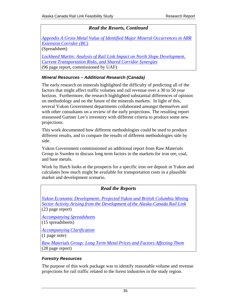# *Read the Resorts, Continued*

<span id="page-34-0"></span>*[Appendix A Gross Metal Value of Identified Major Mineral Occurrences in ARR](http://assets.yukonarchives.ca/PAM_2006_0470xxx.xlsx)  Extension Corridor (BC)*  (Spreadsheet)

*[Lockheed Martin: Analysis of Rail Link Impact on North Slope Development,](http://assets.yukonarchives.ca/YAL_003,898.pdf) Current Transportation Risks, and Shared Corridor Synergies* (96 page report, commissioned by UAF)

### *Mineral Resources – Additional Research (Canada)*

The early research on minerals highlighted the difficulty of predicting all of the factors that might affect traffic volumes and rail revenue over a 30 to 50 year horizon. Furthermore, the research highlighted substantial differences of opinion on methodology and on the future of the minerals markets. In light of this, several Yukon Government departments collaborated amongst themselves and with other consultants on a review of the early projections. The resulting report reassessed Gartner Lee's inventory with different criteria to produce some new projections.

This work documented how different methodologies could be used to produce different results, and to compare the results of different methodologies side by side.

Yukon Government commissioned an additional report from Raw Materials Group in Sweden to discuss long term factors in the markets for iron ore, coal, and base metals.

Work by Hatch looks at the prospects for a specific iron ore deposit in Yukon and calculates how much might be available for transportation costs in a plausible market and development scenario.

| <b>Read the Reports</b>                                                                                                                                                              |
|--------------------------------------------------------------------------------------------------------------------------------------------------------------------------------------|
| Yukon Economic Development: Projected Yukon and British Columbia Mining<br>Sector Activity Arising from the Development of the Alaska-Canada Rail Link<br>$(23 \text{ page report})$ |
| <b>Accompanying Spreadsheets</b><br>$(15$ spreadsheets)                                                                                                                              |
| <b>Accompanying Clarification</b><br>$(1$ page note)                                                                                                                                 |
| <b>Raw Materials Group: Long Term Metal Prices and Factors Affecting Them</b><br>$(28 \text{ page report})$                                                                          |

### *Forestry Resources*

The purpose of this work package was to identify reasonable volume and revenue projections for rail traffic related to the forest industries in the study region.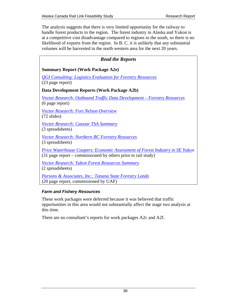<span id="page-35-0"></span>The analysis suggests that there is very limited opportunity for the railway to handle forest products in the region. The forest industry in Alaska and Yukon is at a competitive cost disadvantage compared to regions to the south, so there is no likelihood of exports from the region. In B. C. it is unlikely that any substantial volumes will be harvested in the north western area for the next 20 years.

# *Read the Reports*  **Summary Report (Work Package A2e)**  *[QGI Consulting: Logistics Evaluation for Forestry Resources](http://assets.yukonarchives.ca/PAM_2006_0472.pdf)* (23 page report) **Data Development Reports (Work Package A2b)**  *[Vector Research: Outbound Traffic Data Development – Forestry Resources](http://assets.yukonarchives.ca/PAM_2006_0476.pdf)* (6 page report) *[Vector Research: Fort Nelson Overview](http://assets.yukonarchives.ca/PAM_2006_0479.pdf)* (72 slides) *[Vector Research: Cassiar TSA Summary](http://assets.yukonarchives.ca/PAM_2006_0535.pdf)* (3 spreadsheets) *[Vector Research: Northern BC Forestry Resources](http://assets.yukonarchives.ca/PAM_2006_0540.pdf)* (3 spreadsheets) *[Price Waterhouse Coopers: Economic Assessment of Forest Industry in SE Yuk](http://assets.yukonarchives.ca/PAM_2005_0211.pdf)on* (31 page report – commissioned by others prior to rail study) *[Vector Research: Yukon Forest Resources Summary](http://assets.yukonarchives.ca/PAM_2006_0541.pdf)* (2 spreadsheets) *[Parsons & Associates, Inc.: Tanana State Forestry Lands](http://assets.yukonarchives.ca/PAM_2006_0475.pdf)* (20 page report, commissioned by UAF)

# *Farm and Fishery Resources*

These work packages were deferred because it was believed that traffic opportunities in this area would not substantially affect the stage two analysis at this time.

There are no consultant's reports for work packages A2c and A2f.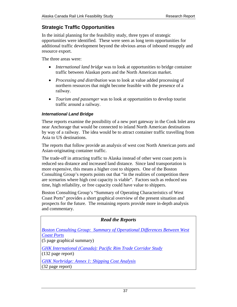# <span id="page-36-0"></span>**Strategic Traffic Opportunities**

In the initial planning for the feasibility study, three types of strategic opportunities were identified. These were seen as long term opportunities for additional traffic development beyond the obvious areas of inbound resupply and resource export.

The three areas were:

- *International land bridge* was to look at opportunities to bridge container traffic between Alaskan ports and the North American market.
- *Processing and distribution* was to look at value added processing of northern resources that might become feasible with the presence of a railway.
- *Tourism and passenger* was to look at opportunities to develop tourist traffic around a railway.

# *International Land Bridge*

These reports examine the possibility of a new port gateway in the Cook Inlet area near Anchorage that would be connected to inland North American destinations by way of a railway. The idea would be to attract container traffic travelling from Asia to US destinations.

The reports that follow provide an analysis of west cost North American ports and Asian-originating container traffic.

The trade-off in attracting traffic to Alaska instead of other west coast ports is reduced sea distance and increased land distance. Since land transportation is more expensive, this means a higher cost to shippers. One of the Boston Consulting Group's reports points out that "in the realities of competition there are scenarios where high cost capacity is viable". Factors such as reduced sea time, high reliability, or free capacity could have value to shippers.

Boston Consulting Group's "Summary of Operating Characteristics of West Coast Ports" provides a short graphical overview of the present situation and prospects for the future. The remaining reports provide more in-depth analysis and commentary.

| <b>Read the Reports</b>                                                                                                               |  |  |
|---------------------------------------------------------------------------------------------------------------------------------------|--|--|
| <b>Boston Consulting Group: Summary of Operational Differences Between West</b><br><b>Coast Ports</b><br>$(5$ page graphical summary) |  |  |
| <b>GHK International (Canada): Pacific Rim Trade Corridor Study</b><br>$(132 \text{ page report})$                                    |  |  |
| <b>GHK</b> Norbridge: Annex 1: Shipping Cost Analysis<br>$(32 \text{ page report})$                                                   |  |  |
|                                                                                                                                       |  |  |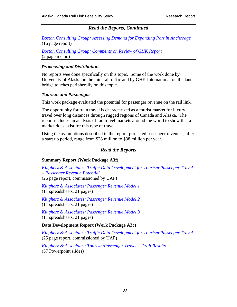# *Read the Reports, Continued*

<span id="page-37-0"></span>*[Boston Consulting Group: Assessing Demand for Expanding Port in Anchorage](http://assets.yukonarchives.ca/PAM_2006_0523.pdf)* (16 page report)

*[Boston Consulting Group: Comments on Review of GHK Report](http://assets.yukonarchives.ca/PAM_2007_0310.pdf)*  (2 page memo)

### *Processing and Distribution*

No reports wee done specifically on this topic. Some of the work done by University of Alaska on the mineral traffic and by GHK International on the land bridge touches peripherally on this topic.

#### *Tourism and Passenger*

This work package evaluated the potential for passenger revenue on the rail link.

The opportunity for train travel is characterized as a tourist market for luxury travel over long distances through rugged regions of Canada and Alaska. The report includes an analysis of rail travel markets around the world to show that a market does exist for this type of travel.

Using the assumptions described in the report, projected passenger revenues, after a start up period, range from \$28 million to \$38 million per year.

# *Read the Reports*

### **Summary Report (Work Package A3f)**

*[Klugherz & Associates: Traffic Data Development for Tourism/Passenger Travel](http://assets.yukonarchives.ca/PAM_2006_0468.pdf)  – Passenger Revenue Potential*

(26 page report, commissioned by UAF)

*[Klugherz & Associates: Passenger Revenue Model 1](http://assets.yukonarchives.ca/PAM_2006_0542.pdf)* (11 spreadsheets, 21 pages)

*[Klugherz & Associates: Passenger Revenue Model 2](http://assets.yukonarchives.ca/PAM_2006_0543.pdf)* (11 spreadsheets, 21 pages)

*[Klugherz & Associates: Passenger Revenue Model 3](http://assets.yukonarchives.ca/PAM_2006_0544.pdf)* (11 spreadsheets, 21 pages)

**Data Development Report (Work Package A3c)** 

*[Klugherz & Associates: Traffic Data Development for Tourism/Passenger Travel](http://assets.yukonarchives.ca/PAM_2006_0456.pdf)* (25 page report, commissioned by UAF)

*[Klugherz & Associates: Tourism/Passenger Travel – Draft Results](http://assets.yukonarchives.ca/PAM_2006_0460.pdf)* (57 Powerpoint slides)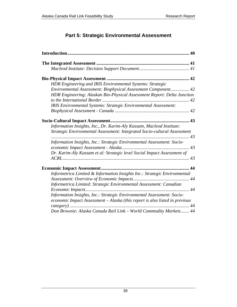# **Part 5: Strategic Environmental Assessment**

<span id="page-38-0"></span>

| HDR Engineering and IRIS Environmental Systems: Strategic                                                                                             |  |  |
|-------------------------------------------------------------------------------------------------------------------------------------------------------|--|--|
| Environmental Assessment: Biophysical Assessment Component 42                                                                                         |  |  |
| HDR Engineering: Alaskan Bio-Physical Assessment Report: Delta Junction                                                                               |  |  |
|                                                                                                                                                       |  |  |
| IRIS Environmental Systems: Strategic Environmental Assessment:                                                                                       |  |  |
|                                                                                                                                                       |  |  |
|                                                                                                                                                       |  |  |
| Information Insights, Inc., Dr. Karim-Aly Kassam, Macleod Institute:                                                                                  |  |  |
| Strategic Environmental Assessment: Integrated Socio-cultural Assessment                                                                              |  |  |
| Information Insights, Inc.: Strategic Environmental Assessment: Socio-                                                                                |  |  |
|                                                                                                                                                       |  |  |
| Dr. Karim-Aly Kassam et al: Strategic level Social Impact Assessment of                                                                               |  |  |
|                                                                                                                                                       |  |  |
|                                                                                                                                                       |  |  |
| Informetrica Limited & Information Insights Inc.: Strategic Environmental                                                                             |  |  |
|                                                                                                                                                       |  |  |
| Informetrica Limited: Strategic Environmental Assessment: Canadian                                                                                    |  |  |
|                                                                                                                                                       |  |  |
| Information Insights, Inc.: Strategic Environmental Assessment: Socio-<br>economic Impact Assessment - Alaska (this report is also listed in previous |  |  |
|                                                                                                                                                       |  |  |
| Don Brownie: Alaska Canada Rail Link - World Commodity Markets 44                                                                                     |  |  |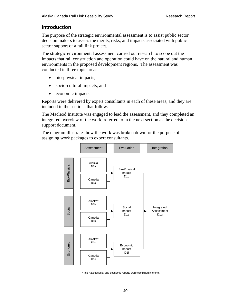# <span id="page-39-0"></span>**Introduction**

The purpose of the strategic environmental assessment is to assist public sector decision makers to assess the merits, risks, and impacts associated with public sector support of a rail link project.

The strategic environmental assessment carried out research to scope out the impacts that rail construction and operation could have on the natural and human environments in the proposed development regions. The assessment was conducted in three topic areas:

- bio-physical impacts,
- socio-cultural impacts, and
- economic impacts.

Reports were delivered by expert consultants in each of these areas, and they are included in the sections that follow.

The Macleod Institute was engaged to lead the assessment, and they completed an integrated overview of the work, referred to in the next section as the decision support document.

The diagram illustrates how the work was broken down for the purpose of assigning work packages to expert consultants.



\* The Alaska social and economic reports were combined into one.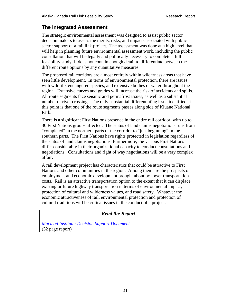# <span id="page-40-0"></span>**The Integrated Assessment**

The strategic environmental assessment was designed to assist public sector decision makers to assess the merits, risks, and impacts associated with public sector support of a rail link project. The assessment was done at a high level that will help in planning future environmental assessment work, including the public consultation that will be legally and politically necessary to complete a full feasibility study. It does not contain enough detail to differentiate between the different route options by any quantitative measures.

The proposed rail corridors are almost entirely within wilderness areas that have seen little development. In terms of environmental protection, there are issues with wildlife, endangered species, and extensive bodies of water throughout the region. Extensive curves and grades will increase the risk of accidents and spills. All route segments face seismic and permafrost issues, as well as a substantial number of river crossings. The only substantial differentiating issue identified at this point is that one of the route segments passes along side of Kluane National Park.

There is a significant First Nations presence in the entire rail corridor, with up to 30 First Nations groups affected. The status of land claims negotiations runs from "completed" in the northern parts of the corridor to "just beginning" in the southern parts. The First Nations have rights protected in legislation regardless of the status of land claims negotiations. Furthermore, the various First Nations differ considerably in their organizational capacity to conduct consultations and negotiations. Consultations and right of way negotiations will be a very complex affair.

A rail development project has characteristics that could be attractive to First Nations and other communities in the region. Among them are the prospects of employment and economic development brought about by lower transportation costs. Rail is an attractive transportation option to the extent that it can displace existing or future highway transportation in terms of environmental impact, protection of cultural and wilderness values, and road safety. Whatever the economic attractiveness of rail, environmental protection and protection of cultural traditions will be critical issues in the conduct of a project.

# *Read the Report*

*[Macleod Institute: Decision Support Document](http://assets.yukonarchives.ca/PAM_2006_0461.pdf)* (32 page report)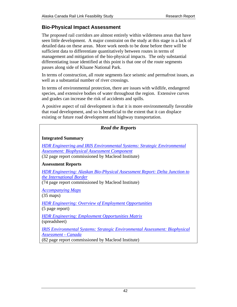# <span id="page-41-0"></span>**Bio-Physical Impact Assessment**

The proposed rail corridors are almost entirely within wilderness areas that have seen little development. A major constraint on the study at this stage is a lack of detailed data on these areas. More work needs to be done before there will be sufficient data to differentiate quantitatively between routes in terms of management and mitigation of the bio-physical impacts. The only substantial differentiating issue identified at this point is that one of the route segments passes along side of Kluane National Park.

In terms of construction, all route segments face seismic and permafrost issues, as well as a substantial number of river crossings.

In terms of environmental protection, there are issues with wildlife, endangered species, and extensive bodies of water throughout the region. Extensive curves and grades can increase the risk of accidents and spills.

A positive aspect of rail development is that it is more environmentally favorable that road development, and so is beneficial to the extent that it can displace existing or future road development and highway transportation.

| <b>Read the Reports</b>                                                                                                                                                                                                |  |  |
|------------------------------------------------------------------------------------------------------------------------------------------------------------------------------------------------------------------------|--|--|
| <b>Integrated Summary</b>                                                                                                                                                                                              |  |  |
| <b>HDR Engineering and IRIS Environmental Systems: Strategic Environmental</b><br><b>Assessment: Biophysical Assessment Component</b><br>(32 page report commissioned by Macleod Institute)                            |  |  |
| <b>Assessment Reports</b>                                                                                                                                                                                              |  |  |
| <b>HDR Engineering: Alaskan Bio-Physical Assessment Report: Delta Junction to</b><br>the International Border<br>(74 page report commissioned by Macleod Institute)<br><b>Accompanying Maps</b><br>$(35 \text{ maps})$ |  |  |
| <b>HDR Engineering: Overview of Employment Opportunities</b><br>(5 page report)                                                                                                                                        |  |  |
| <b>HDR Engineering: Employment Opportunities Matrix</b><br>(spreadsheet)                                                                                                                                               |  |  |
| <b>IRIS Environmental Systems: Strategic Environmental Assessment: Biophysical</b><br>Assessment - Canada                                                                                                              |  |  |

(82 page report commissioned by Macleod Institute)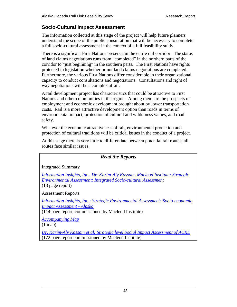# <span id="page-42-0"></span>**Socio-Cultural Impact Assessment**

The information collected at this stage of the project will help future planners understand the scope of the public consultation that will be necessary to complete a full socio-cultural assessment in the context of a full feasibility study.

There is a significant First Nations presence in the entire rail corridor. The status of land claims negotiations runs from "completed" in the northern parts of the corridor to "just beginning" in the southern parts. The First Nations have rights protected in legislation whether or not land claims negotiations are completed. Furthermore, the various First Nations differ considerable in their organizational capacity to conduct consultations and negotiations. Consultations and right of way negotiations will be a complex affair.

A rail development project has characteristics that could be attractive to First Nations and other communities in the region. Among them are the prospects of employment and economic development brought about by lower transportation costs. Rail is a more attractive development option than roads in terms of environmental impact, protection of cultural and wilderness values, and road safety.

Whatever the economic attractiveness of rail, environmental protection and protection of cultural traditions will be critical issues in the conduct of a project.

At this stage there is very little to differentiate between potential rail routes; all routes face similar issues.

# *Read the Reports*

Integrated Summary

*[Information Insights, Inc., Dr. Karim-Aly Kassam, Macleod Institute: Strategic](http://assets.yukonarchives.ca/PAM_2006_0492.pdf) Environmental Assessment: Integrated Socio-cultural Assessment*  (18 page report)

Assessment Reports

*[Information Insights, Inc.: Strategic Environmental Assessment: Socio-economic](http://assets.yukonarchives.ca/YAL_003,886.pdf)  Impact Assessment - Alaska*

(114 page report, commissioned by Macleod Institute)

*[Accompanying Map](http://assets.yukonarchives.ca/PAM_2005_0343.pdf)*

(1 map)

*[Dr. Karim-Aly Kassam et al: Strategic level Social Impact Assessment of ACRL](http://assets.yukonarchives.ca/YAL_003,888.pdf)* (172 page report commissioned by Macleod Institute)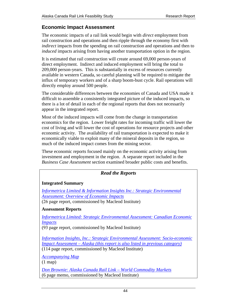# <span id="page-43-0"></span>**Economic Impact Assessment**

The economic impacts of a rail link would begin with *direct* employment from rail construction and operations and then ripple through the economy first with *indirect* impacts from the spending on rail construction and operations and then to *induced* impacts arising from having another transportation option in the region.

It is estimated that rail construction will create around 69,000 person-years of direct employment. Indirect and induced employment will bring the total to 209,000 person-years. This is substantially in excess of resources currently available in western Canada, so careful planning will be required to mitigate the influx of temporary workers and of a sharp boom-bust cycle. Rail operations will directly employ around 500 people.

The considerable differences between the economies of Canada and USA made it difficult to assemble a consistently integrated picture of the induced impacts, so there is a lot of detail in each of the regional reports that does not necessarily appear in the integrated report.

Most of the induced impacts will come from the change in transportation economics for the region. Lower freight rates for incoming traffic will lower the cost of living and will lower the cost of operations for resource projects and other economic activity. The availability of rail transportation is expected to make it economically viable to exploit many of the mineral deposits in the region, so much of the induced impact comes from the mining sector.

These economic reports focused mainly on the economic activity arising from investment and employment in the region. A separate report included in the *Business Case Assessment* section examined broader public costs and benefits.

# *Read the Reports*

### **Integrated Summary**

*Informetrica Limited & Information Insights Inc.: Strategic Environmental Assessment: Overview of Economic Impacts* (26 page report, commissioned by Macleod Institute)

### **Assessment Reports**

*[Informetrica Limited: Strategic Environmental Assessment: Canadian Economic](http://assets.yukonarchives.ca/YAL_003,885.pdf)  Impacts*

(93 page report, commissioned by Macleod Institute)

*Information Insights, Inc.: Strategic Environmental Assessment: Socio-economic Impact Assessment – Alaska (this report is also listed in previous category)*

(114 page report, commissioned by Macleod Institute)

*[Accompanying Map](http://assets.yukonarchives.ca/PAM_2005_0343.pdf)*

 $(1 \text{ map})$ 

*[Don Brownie: Alaska Canada Rail Link – World Commodity Markets](http://assets.yukonarchives.ca/PAM_2006_0478.pdf)* (6 page memo, commissioned by Macleod Institute)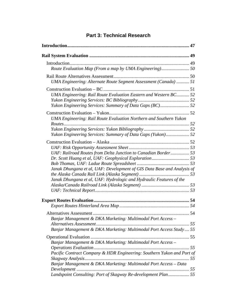<span id="page-44-0"></span>

| UMA Engineering: Alternate Route Segment Assessment (Canada)  51          |  |
|---------------------------------------------------------------------------|--|
|                                                                           |  |
| UMA Engineering: Rail Route Evaluation Eastern and Western BC 52          |  |
|                                                                           |  |
|                                                                           |  |
|                                                                           |  |
| <b>UMA Engineering: Rail Route Evaluation Northern and Southern Yukon</b> |  |
|                                                                           |  |
|                                                                           |  |
| Yukon Engineering Services: Summary of Data Gaps (Yukon) 52               |  |
|                                                                           |  |
|                                                                           |  |
| UAF: Railroad Routes from Delta Junction to Canadian Border 53            |  |
|                                                                           |  |
|                                                                           |  |
| Janak Dhungana et al, UAF: Development of GIS Data Base and Analysis of   |  |
|                                                                           |  |
| Janak Dhungana et al, UAF: Hydrologic and Hydraulic Features of the       |  |
|                                                                           |  |
|                                                                           |  |
|                                                                           |  |
|                                                                           |  |
|                                                                           |  |
| Banjar Management & DKA Marketing: Multimodal Port Access -               |  |
|                                                                           |  |
| Banjar Management & DKA Marketing: Multimodal Port Access Study 55        |  |
|                                                                           |  |
| Banjar Management & DKA Marketing: Multimodal Port Access -               |  |
|                                                                           |  |
| Pacific Contract Company & HDR Engineering: Southern Yukon and Port of    |  |
| Banjar Management & DKA Marketing: Multimodal Port Access - Data          |  |
| Landspoint Consulting: Port of Skagway Re-development Plan 55             |  |
|                                                                           |  |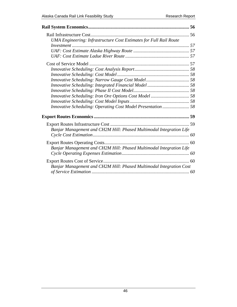| <b>UMA Engineering: Infrastructure Cost Estimates for Full Rail Route</b> |  |
|---------------------------------------------------------------------------|--|
|                                                                           |  |
|                                                                           |  |
|                                                                           |  |
|                                                                           |  |
|                                                                           |  |
|                                                                           |  |
|                                                                           |  |
|                                                                           |  |
|                                                                           |  |
|                                                                           |  |
|                                                                           |  |
|                                                                           |  |
|                                                                           |  |
| Banjar Management and CH2M Hill: Phased Multimodal Integration Life       |  |
|                                                                           |  |
| Banjar Management and CH2M Hill: Phased Multimodal Integration Life       |  |
|                                                                           |  |
| Banjar Management and CH2M Hill: Phased Multimodal Integration Cost       |  |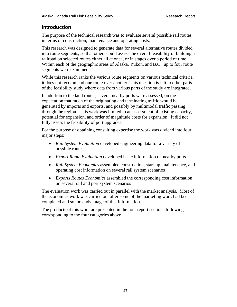# <span id="page-46-0"></span>**Introduction**

The purpose of the technical research was to evaluate several possible rail routes in terms of construction, maintenance and operating costs.

This research was designed to generate data for several alternative routes divided into route segments, so that others could assess the overall feasibility of building a railroad on selected routes either all at once, or in stages over a period of time. Within each of the geographic areas of Alaska, Yukon, and B.C., up to four route segments were examined.

While this research ranks the various route segments on various technical criteria, it does not recommend one route over another. This question is left to other parts of the feasibility study where data from various parts of the study are integrated.

In addition to the land routes, several nearby ports were assessed, on the expectation that much of the originating and terminating traffic would be generated by imports and exports, and possibly by multimodal traffic passing through the region. This work was limited to an assessment of existing capacity, potential for expansion, and order of magnitude costs for expansion. It did not fully assess the feasibility of port upgrades.

For the purpose of obtaining consulting expertise the work was divided into four major steps:

- *Rail System Evaluation* developed engineering data for a variety of possible routes
- *Export Route Evaluation* developed basic information on nearby ports
- *Rail System Economics* assembled construction, start-up, maintenance, and operating cost information on several rail system scenarios
- *Exports Routes Economics* assembled the corresponding cost information on several rail and port system scenarios

The evaluation work was carried out in parallel with the market analysis. Most of the economics work was carried out after some of the marketing work had been completed and so took advantage of that information.

The products of this work are presented in the four report sections following, corresponding to the four categories above.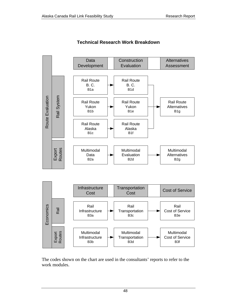

**Technical Research Work Breakdown** 

The codes shown on the chart are used in the consultants' reports to refer to the work modules.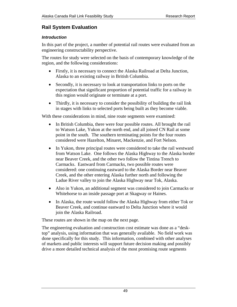# <span id="page-48-0"></span>**Rail System Evaluation**

# *Introduction*

In this part of the project, a number of potential rail routes were evaluated from an engineering constructability perspective.

The routes for study were selected on the basis of contemporary knowledge of the region, and the following considerations:

- Firstly, it is necessary to connect the Alaska Railroad at Delta Junction, Alaska to an existing railway in British Columbia.
- Secondly, it is necessary to look at transportation links to ports on the expectation that significant proportion of potential traffic for a railway in this region would originate or terminate at a port.
- Thirdly, it is necessary to consider the possibility of building the rail link in stages with links to selected ports being built as they become viable.

With these considerations in mind, nine route segments were examined:

- In British Columbia, there were four possible routes. All brought the rail to Watson Lake, Yukon at the north end, and all joined CN Rail at some point in the south. The southern terminating points for the four routes considered were Hazelton, Minaret, Mackenzie, and Fort Nelson.
- In Yukon, three principal routes were considered to take the rail westward from Watson Lake. One follows the Alaska Highway to the Alaska border near Beaver Creek, and the other two follow the Tintina Trench to Carmacks. Eastward from Carmacks, two possible routes were considered: one continuing eastward to the Alaska Border near Beaver Creek, and the other entering Alaska further north and following the Ladue River valley to join the Alaska Highway near Tok, Alaska.
- Also in Yukon, an additional segment was considered to join Carmacks or Whitehorse to an inside passage port at Skagway or Haines.
- In Alaska, the route would follow the Alaska Highway from either Tok or Beaver Creek, and continue eastward to Delta Junction where it would join the Alaska Railroad.

These routes are shown in the map on the next page.

The engineering evaluation and construction cost estimate was done as a "desktop" analysis, using information that was generally available. No field work was done specifically for this study. This information, combined with other analyses of markets and public interests will support future decision making and possibly drive a more detailed technical analysis of the most promising route segments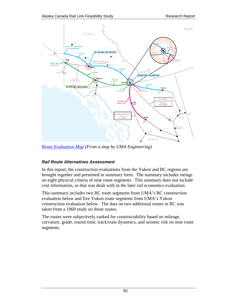<span id="page-49-0"></span>

*[Route Evaluation Map \(](http://assets.yukonarchives.ca/PAM_2006_0548.pdf)From a map by UMA Engineering)* 

### *Rail Route Alternatives Assessment*

In this report, the construction evaluations from the Yukon and BC regions are brought together and presented in summary form. The summary includes ratings on eight physical criteria of nine route segments. This summary does not include cost information, as that was dealt with in the later rail economics evaluation.

This summary includes two BC route segments from UMA's BC construction evaluation below and five Yukon route segments from UMA's Yukon construction evaluation below. The data on two additional routes in BC was taken from a 1969 study on those routes.

The routes were subjectively ranked for constructability based on mileage, curvature, grade, transit time, track/train dynamics, and seismic risk on nine route segments.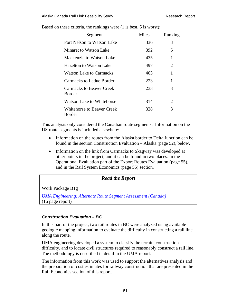| Segment                                          | <b>Miles</b> | Ranking |
|--------------------------------------------------|--------------|---------|
| Fort Nelson to Watson Lake                       | 336          | 3       |
| Minaret to Watson Lake                           | 392          | 5       |
| Mackenzie to Watson Lake                         | 435          | 1       |
| Hazelton to Watson Lake                          | 497          | 2       |
| Watson Lake to Carmacks                          | 403          | 1       |
| Carmacks to Ladue Border                         | 223          | 1       |
| <b>Carmacks to Beaver Creek</b><br><b>Border</b> | 233          | 3       |
| Watson Lake to Whitehorse                        | 314          | 2       |
| Whitehorse to Beaver Creek<br>Border             | 328          | 3       |

<span id="page-50-0"></span>Based on these criteria, the rankings were (1 is best, 5 is worst):

This analysis only considered the Canadian route segments. Information on the US route segments is included elsewhere:

- Information on the routes from the Alaska border to Delta Junction can be found in the section Construction Evaluation – Alaska (page [52\)](#page-51-1), below.
- Information on the link from Carmacks to Skagway was developed at other points in the project, and it can be found in two places: in the Operational Evaluation part of the Export Routes Evaluation (page [55\)](#page-54-1), and in the Rail System Economics (page [56\)](#page-55-1) section.

#### *Read the Report*

Work Package B1g

*[UMA Engineering: Alternate Route Segment Assessment \(Canada\)](http://assets.yukonarchives.ca/PAM_2006_0488.pdf)* (16 page report)

### *Construction Evaluation – BC*

In this part of the project, two rail routes in BC were analyzed using available geologic mapping information to evaluate the difficulty in constructing a rail line along the route.

UMA engineering developed a system to classify the terrain, construction difficulty, and to locate civil structures required to reasonably construct a rail line. The methodology is described in detail in the UMA report.

The information from this work was used to support the alternatives analysis and the preparation of cost estimates for railway construction that are presented in the Rail Economics section of this report.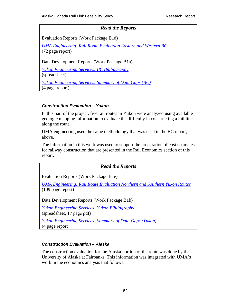## *Read the Reports*

<span id="page-51-0"></span>Evaluation Reports (Work Package B1d)

*[UMA Engineering: Rail Route Evaluation Eastern and Western BC](http://assets.yukonarchives.ca/YAL_003,883.pdf)* (72 page report)

Data Development Reports (Work Package B1a)

*[Yukon Engineering Services: BC Bibliography](http://assets.yukonarchives.ca/PAM_2006_0516.pdf)*

(spreadsheet)

*[Yukon Engineering Services: Summary of Data Gaps \(BC\)](http://assets.yukonarchives.ca/PAM_2006_0507.pdf)* (4 page report)

### *Construction Evaluation – Yukon*

In this part of the project, five rail routes in Yukon were analyzed using available geologic mapping information to evaluate the difficulty in constructing a rail line along the route.

UMA engineering used the same methodology that was used in the BC report, above.

The information in this work was used to support the preparation of cost estimates for railway construction that are presented in the Rail Economics section of this report.

# *Read the Reports*

Evaluation Reports (Work Package B1e)

*[UMA Engineering: Rail Route Evaluation Northern and Southern Yukon Routes](http://assets.yukonarchives.ca/YAL_003,891.pdf)* (109 page report)

Data Development Reports (Work Package B1b)

*[Yukon Engineering Services: Yukon Bibliography](http://assets.yukonarchives.ca/PAM_2006_0519.pdf)* (spreadsheet, 17 page pdf)

*[Yukon Engineering Services: Summary of Data Gaps \(Yukon\)](http://assets.yukonarchives.ca/PAM_2006_0508.pdf)* (4 page report)

### <span id="page-51-1"></span>*Construction Evaluation – Alaska*

The construction evaluation for the Alaska portion of the route was done by the University of Alaska at Fairbanks. This information was integrated with UMA's work in the economics analysis that follows.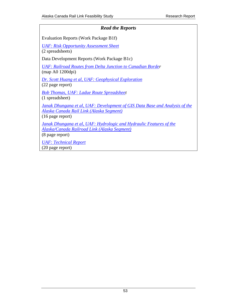# <span id="page-52-0"></span>*Read the Reports*  Evaluation Reports (Work Package B1f) *[UAF: Risk Opportunity Assessment Sheet](http://assets.yukonarchives.ca/PAM_2006_0546.pdf)* (2 spreadsheets) Data Development Reports (Work Package B1c) *[UAF: Railroad Routes from Delta Junction to Canadian Border](http://assets.yukonarchives.ca/PAM_2006_0526.pdf)*  (map A0 1200dpi) *[Dr. Scott Huang et al, UAF: Geophysical Exploration](http://assets.yukonarchives.ca/PAM_2006_0512.pdf)* (22 page report) *[Bob Thomas, UAF: Ladue Route Spreadsheet](http://assets.yukonarchives.ca/PAM_2006_0547.pdf)*  (1 spreadsheet) *[Janak Dhungana et al, UAF: Development of GIS Data Base and Analysis of the](http://assets.yukonarchives.ca/PAM_2006_0468.pdf) Alaska Canada Rail Link (Alaska Segment)* (16 page report) *[Janak Dhungana et al, UAF: Hydrologic and Hydraulic Features of the](http://assets.yukonarchives.ca/PAM_2006_0525.pdf) Alaska/Canada Railroad Link (Alaska Segment)* (8 page report) *[UAF: Technical Report](http://assets.yukonarchives.ca/PAM_2006_0510.pdf)* (20 page report)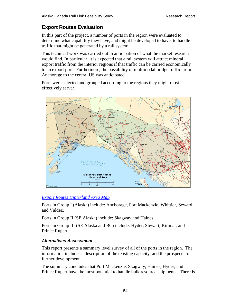# <span id="page-53-0"></span>**Export Routes Evaluation**

In this part of the project, a number of ports in the region were evaluated to determine what capability they have, and might be developed to have, to handle traffic that might be generated by a rail system.

This technical work was carried out in anticipation of what the market research would find. In particular, it is expected that a rail system will attract mineral export traffic from the interior regions if that traffic can be carried economically to an export port. Furthermore, the possibility of multimodal bridge traffic from Anchorage to the central US was anticipated.

Ports were selected and grouped according to the regions they might most effectively serve:



# *[Export Routes Hinterland Area Map](http://assets.yukonarchives.ca/PAM_2006_0520.pdf)*

Ports in Group I (Alaska) include: Anchorage, Port Mackenzie, Whittier, Seward, and Valdez.

Ports in Group II (SE Alaska) include: Skagway and Haines.

Ports in Group III (SE Alaska and BC) include: Hyder, Stewart, Kitimat, and Prince Rupert.

# *Alternatives Assessment*

This report presents a summary level survey of all of the ports in the region. The information includes a description of the existing capacity, and the prospects for further development.

The summary concludes that Port Mackenzie, Skagway, Haines, Hyder, and Prince Rupert have the most potential to handle bulk resource shipments. There is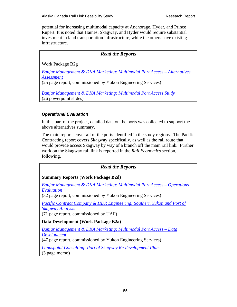<span id="page-54-0"></span>potential for increasing multimodal capacity at Anchorage, Hyder, and Prince Rupert. It is noted that Haines, Skagway, and Hyder would require substantial investment in land transportation infrastructure, while the others have existing infrastructure.

## *Read the Reports*

Work Package B2g

*[Banjar Management & DKA Marketing: Multimodal Port Access – Alternatives](http://assets.yukonarchives.ca/PAM_2006_0463.pdf) Assessment*

(25 page report, commissioned by Yukon Engineering Services)

*[Banjar Management & DKA Marketing: Multimodal Port Access Study](http://assets.yukonarchives.ca/PAM_2006_0482.pdf)* (26 powerpoint slides)

### <span id="page-54-1"></span>*Operational Evaluation*

In this part of the project, detailed data on the ports was collected to support the above alternatives summary.

The main reports cover all of the ports identified in the study regions. The Pacific Contracting report covers Skagway specifically, as well as the rail route that would provide access Skagway by way of a branch off the main rail link. Further work on the Skagway rail link is reported in the *Rail Economics* section, following.

# *Read the Reports*

# **Summary Reports (Work Package B2d)**

*[Banjar Management & DKA Marketing: Multimodal Port Access – Operations](http://assets.yukonarchives.ca/PAM_2006_0483.pdf) Evaluation*

(32 page report, commissioned by Yukon Engineering Services)

*[Pacific Contract Company & HDR Engineering: Southern Yukon and Port of](http://assets.yukonarchives.ca/YAL_003,903.pdf) Skagway Analysis*

(71 page report, commissioned by UAF)

# **Data Development (Work Package B2a)**

*[Banjar Management & DKA Marketing: Multimodal Port Access – Data](http://assets.yukonarchives.ca/PAM_2006_0487.pdf) Development*

(47 page report, commissioned by Yukon Engineering Services)

*[Landspoint Consulting: Port of Skagway Re-development Plan](http://assets.yukonarchives.ca/PAM_2005_0223.pdf)*  (3 page memo)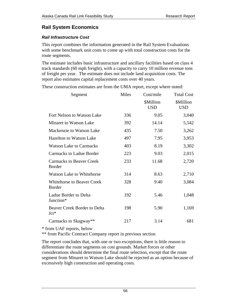# <span id="page-55-1"></span><span id="page-55-0"></span>**Rail System Economics**

## *Rail Infrastructure Cost*

This report combines the information generated in the Rail System Evaluations with some benchmark unit costs to come up with total construction costs for the route segments.

The estimate includes basic infrastructure and ancillary facilities based on class 4 track standards (60 mph freight), with a capacity to carry 10 million revenue tons of freight per year. The estimate does not include land acquisition costs. The report also estimates capital replacement costs over 40 years.

These construction estimates are from the UMA report, except where noted:

| Segment                                          | Miles | Cost/mile               | <b>Total Cost</b>       |
|--------------------------------------------------|-------|-------------------------|-------------------------|
|                                                  |       | \$Million<br><b>USD</b> | \$Million<br><b>USD</b> |
| Fort Nelson to Watson Lake                       | 336   | 9.05                    | 3,040                   |
| Minaret to Watson Lake                           | 392   | 14.14                   | 5,542                   |
| Mackenzie to Watson Lake                         | 435   | 7.50                    | 3,262                   |
| <b>Hazelton to Watson Lake</b>                   | 497   | 7.95                    | 3,953                   |
| <b>Watson Lake to Carmacks</b>                   | 403   | 8.19                    | 3,302                   |
| <b>Carmacks to Ladue Border</b>                  | 223   | 9.03                    | 2,015                   |
| <b>Carmacks to Beaver Creek</b><br><b>Border</b> | 233   | 11.68                   | 2,720                   |
| <b>Watson Lake to Whitehorse</b>                 | 314   | 8.63                    | 2,710                   |
| <b>Whitehorse to Beaver Creek</b><br>Border      | 328   | 9.40                    | 3,084                   |
| Ladue Border to Delta<br>Junction*               | 192   | 5.46                    | 1,048                   |
| <b>Beaver Creek Border to Delta</b><br>$Jct*$    | 198   | 5.90                    | 1,169                   |
| Carmacks to Skagway**                            | 217   | 3.14                    | 681                     |

\* from UAF reports, below

\*\* from Pacific Contract Company report in previous section

The report concludes that, with one or two exceptions, there is little reason to differentiate the route segments on cost grounds. Market forces or other considerations should determine the final route selection, except that the route segment from Minaret to Watson Lake should be rejected as an option because of excessively high construction and operating costs.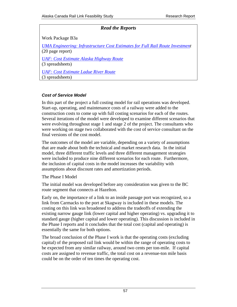# *Read the Reports*

<span id="page-56-0"></span>Work Package B3a

*[UMA Engineering: Infrastructure Cost Estimates for Full Rail Route Investment](http://assets.yukonarchives.ca/PAM_2006_0491.pdf)*  (20 page report) *[UAF: Cost Estimate Alaska Highway Route](http://assets.yukonarchives.ca/PAM_2006_0491x.xlsx)* (3 spreadsheets) *[UAF: Cost Estimate Ladue River Route](http://assets.yukonarchives.ca/PAM_2006_0491xx.xlsx)*

(3 spreadsheets)

### *Cost of Service Model*

In this part of the project a full costing model for rail operations was developed. Start-up, operating, and maintenance costs of a railway were added to the construction costs to come up with full costing scenarios for each of the routes. Several iterations of the model were developed to examine different scenarios that were evolving throughout stage 1 and stage 2 of the project. The consultants who were working on stage two collaborated with the cost of service consultant on the final versions of the cost model.

The outcomes of the model are variable, depending on a variety of assumptions that are made about both the technical and market research data. In the initial model, three different traffic levels and three different management strategies were included to produce nine different scenarios for each route. Furthermore, the inclusion of capital costs in the model increases the variability with assumptions about discount rates and amortization periods.

The Phase I Model

The initial model was developed before any consideration was given to the BC route segment that connects at Hazelton.

Early on, the importance of a link to an inside passage port was recognized, so a link from Carmacks to the port at Skagway is included in these models. The costing on this link was broadened to address the tradeoffs of extending the existing narrow gauge link (lower capital and higher operating) vs. upgrading it to standard gauge (higher capital and lower operating). This discussion is included in the Phase I reports and it concludes that the total cost (capital and operating) is essentially the same for both options.

The broad conclusion of the Phase I work is that the operating costs (excluding capital) of the proposed rail link would be within the range of operating costs to be expected from any similar railway, around two cents per ton-mile. If capital costs are assigned to revenue traffic, the total cost on a revenue-ton mile basis could be on the order of ten times the operating cost.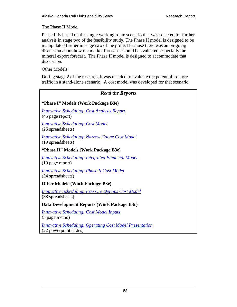<span id="page-57-0"></span>The Phase II Model

Phase II is based on the single working route scenario that was selected for further analysis in stage two of the feasibility study. The Phase II model is designed to be manipulated further in stage two of the project because there was an on-going discussion about how the market forecasts should be evaluated, especially the mineral export forecast. The Phase II model is designed to accommodate that discussion.

Other Models

During stage 2 of the research, it was decided to evaluate the potential iron ore traffic in a stand-alone scenario. A cost model was developed for that scenario.

# *Read the Reports*

# **"Phase I" Models (Work Package B3e)**

*[Innovative Scheduling: Cost Analysis Report](http://assets.yukonarchives.ca/PAM_2006_0464.pdf)* (45 page report)

*[Innovative Scheduling: Cost Model](http://assets.yukonarchives.ca/PAM_2006_0464x.xlsm)* (25 spreadsheets)

*[Innovative Scheduling: Narrow Gauge Cost Model](http://assets.yukonarchives.ca/PAM_2006_0464xx.xlsm)* (19 spreadsheets)

# **"Phase II" Models (Work Package B3e)**

*[Innovative Scheduling: Integrated Financial Model](http://assets.yukonarchives.ca/PAM_2006_0465.pdf)* (19 page report)

*[Innovative Scheduling: Phase II Cost Model](http://assets.yukonarchives.ca/PAM_2006_0465x.xlsm)* (34 spreadsheets)

**Other Models (Work Package B3e)** 

*[Innovative Scheduling: Iron Ore Options Cost Model](http://assets.yukonarchives.ca/PAM_2006_0465xx.xlsm)* (38 spreadsheets)

**Data Development Reports (Work Package B3c)** 

*[Innovative Scheduling: Cost Model Inputs](http://assets.yukonarchives.ca/PAM_2006_0485.pdf)* (3 page memo)

*[Innovative Scheduling: Operating Cost Model Presentation](http://assets.yukonarchives.ca/PAM_2006_0497.pdf)* (22 powerpoint slides)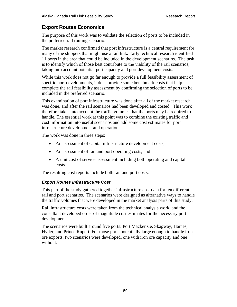# <span id="page-58-0"></span>**Export Routes Economics**

The purpose of this work was to validate the selection of ports to be included in the preferred rail routing scenario.

The market research confirmed that port infrastructure is a central requirement for many of the shippers that might use a rail link. Early technical research identified 11 ports in the area that could be included in the development scenarios. The task is to identify which of those best contribute to the viability of the rail scenarios, taking into account potential port capacity and port development costs.

While this work does not go far enough to provide a full feasibility assessment of specific port developments, it does provide some benchmark costs that help complete the rail feasibility assessment by confirming the selection of ports to be included in the preferred scenario.

This examination of port infrastructure was done after all of the market research was done, and after the rail scenarios had been developed and costed. This work therefore takes into account the traffic volumes that the ports may be required to handle. The essential work at this point was to combine the existing traffic and cost information into useful scenarios and add some cost estimates for port infrastructure development and operations.

The work was done in three steps:

- An assessment of capital infrastructure development costs,
- An assessment of rail and port operating costs, and
- A unit cost of service assessment including both operating and capital costs.

The resulting cost reports include both rail and port costs.

# *Export Routes Infrastructure Cost*

This part of the study gathered together infrastructure cost data for ten different rail and port scenarios. The scenarios were designed as alternative ways to handle the traffic volumes that were developed in the market analysis parts of this study.

Rail infrastructure costs were taken from the technical analysis work, and the consultant developed order of magnitude cost estimates for the necessary port development.

The scenarios were built around five ports: Port Mackenzie, Skagway, Haines, Hyder, and Prince Rupert. For those ports potentially large enough to handle iron ore exports, two scenarios were developed, one with iron ore capacity and one without.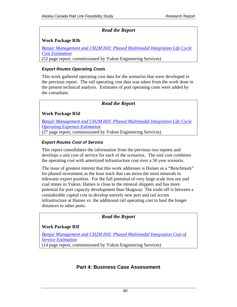# *Read the Report*

## <span id="page-59-0"></span>**Work Package B3b**

*[Banjar Management and CH2M Hill: Phased Multimodal Integration Life Cycle](http://assets.yukonarchives.ca/PAM_2006_0466.pdf)  Cost Estimation* (52 page report, commissioned by Yukon Engineering Services)

### *Export Routes Operating Costs*

This work gathered operating cost data for the scenarios that were developed in the previous report. The rail operating cost data was taken from the work done in the present technical analysis. Estimates of port operating costs were added by the consultant.

# *Read the Report*

### **Work Package B3d**

*[Banjar Management and CH2M Hill: Phased Multimodal Integration Life Cycle](http://assets.yukonarchives.ca/PAM_2006_0457.pdf)  Operating Expenses Estimation* (27 page report, commissioned by Yukon Engineering Services)

### *Export Routes Cost of Service*

This report consolidates the information from the previous two reports and develops a unit cost of service for each of the scenarios. The unit cost combines the operating cost with amortized infrastructure cost over a 50 year scenario.

The issue of greatest interest that this work addresses is Haines as a "Benchmark" for phased investment as the least track that can move the most minerals to tidewater export position. For the full potential of very large scale iron ore and coal mines in Yukon, Haines is close to the mineral shippers and has more potential for port capacity development than Skagway. The trade-off is between a considerable capital cost to develop entirely new port and rail access infrastructure at Haines vs. the additional rail operating cost to haul the longer distances to other ports.

*Read the Report* 

### **Work Package B3f**

*[Banjar Management and CH2M Hill: Phased Multimodal Integration Cost of](http://assets.yukonarchives.ca/PAM_2006_0462.pdf) Service Estimation*

(14 page report, commissioned by Yukon Engineering Services)

# **Part 4: Business Case Assessment**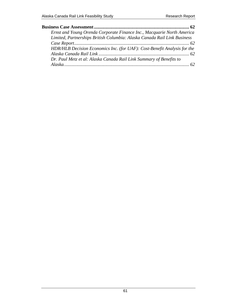| Ernst and Young Orenda Corporate Finance Inc., Macquarie North America   |
|--------------------------------------------------------------------------|
| Limited, Partnerships British Columbia: Alaska Canada Rail Link Business |
|                                                                          |
| HDR/HLB Decision Economics Inc. (for UAF): Cost-Benefit Analysis for the |
|                                                                          |
| Dr. Paul Metz et al: Alaska Canada Rail Link Summary of Benefits to      |
|                                                                          |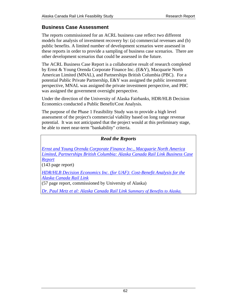# <span id="page-61-0"></span>**Business Case Assessment**

The reports commissioned for an ACRL business case reflect two different models for analysis of investment recovery by: (a) commercial revenues and (b) public benefits. A limited number of development scenarios were assessed in these reports in order to provide a sampling of business case scenarios. There are other development scenarios that could be assessed in the future.

The ACRL Business Case Report is a collaborative result of research completed by Ernst & Young Orenda Corporate Finance Inc. (E&Y), Macquarie North American Limited (MNAL), and Partnerships British Columbia (PBC). For a potential Public Private Partnership, E&Y was assigned the public investment perspective, MNAL was assigned the private investment perspective, and PBC was assigned the government oversight perspective.

Under the direction of the University of Alaska Fairbanks, HDR/HLB Decision Economics conducted a Public Benefit/Cost Analysis.

The purpose of the Phase 1 Feasibility Study was to provide a high level assessment of the project's commercial viability based on long range revenue potential. It was not anticipated that the project would at this preliminary stage, be able to meet near-term "bankability" criteria.

# *Read the Reports*

*Ernst and Young Orenda Corporate Finance Inc., Macquarie North America [Limited, Partnerships British Columbia: Alaska Canada Rail Link Business Case](http://assets.yukonarchives.ca/YAL_003,887.pdf)  Report*

(143 page report)

*[HDR/HLB Decision Economics Inc. \(for UAF\): Cost-Benefit Analysis for the](http://assets.yukonarchives.ca/PAM_2006_0480.pdf)  Alaska Canada Rail Link*

(57 page report, commissioned by University of Alaska)

*[Dr. Paul Metz et al: Alaska Canada Rail Link Summary of Benefits to Alaska.](http://assets.yukonarchives.ca/PAM_2006_0527.pdf)*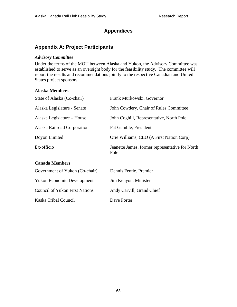# **Appendices**

# <span id="page-62-0"></span>**Appendix A: Project Participants**

#### *Advisory Committee*

Under the terms of the MOU between Alaska and Yukon, the Advisory Committee was established to serve as an oversight body for the feasibility study. The committee will report the results and recommendations jointly to the respective Canadian and United States project sponsors.

#### **Alaska Members**

| State of Alaska (Co-chair)                                                                        | Frank Murkowski, Governor                               |
|---------------------------------------------------------------------------------------------------|---------------------------------------------------------|
| Alaska Legislature - Senate                                                                       | John Cowdery, Chair of Rules Committee                  |
| Alaska Legislature – House                                                                        | John Coghill, Representative, North Pole                |
| Alaska Railroad Corporation                                                                       | Pat Gamble, President                                   |
| Doyon Limited                                                                                     | Orie Williams, CEO (A First Nation Corp)                |
| Ex-officio                                                                                        | Jeanette James, former representative for North<br>Pole |
| <b>Canada Members</b>                                                                             |                                                         |
| $C_{\text{max}}$ and $C_{\text{max}}$ is $C_{\text{max}}$ in $C_{\text{max}}$ in $C_{\text{max}}$ | Desete Desde Daeset                                     |

| Government of Yukon (Co-chair)        | Dennis Fentie. Premier    |
|---------------------------------------|---------------------------|
| <b>Yukon Economic Development</b>     | Jim Kenyon, Minister      |
| <b>Council of Yukon First Nations</b> | Andy Carvill, Grand Chief |
| Kaska Tribal Council                  | Dave Porter               |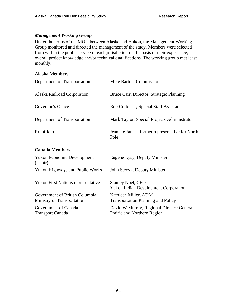# *Management Working Group*

Under the terms of the MOU between Alaska and Yukon, the Management Working Group monitored and directed the management of the study. Members were selected from within the public service of each jurisdiction on the basis of their experience, overall project knowledge and/or technical qualifications. The working group met least monthly.

### **Alaska Members**

| Department of Transportation                 | Mike Barton, Commissioner                               |
|----------------------------------------------|---------------------------------------------------------|
| Alaska Railroad Corporation                  | Bruce Carr, Director, Strategic Planning                |
| Governor's Office                            | Rob Corbisier, Special Staff Assistant                  |
| Department of Transportation                 | Mark Taylor, Special Projects Administrator             |
| Ex-officio                                   | Jeanette James, former representative for North<br>Pole |
| <b>Canada Members</b>                        |                                                         |
| <b>Yukon Economic Development</b><br>(Chair) | Eugene Lysy, Deputy Minister                            |
| <b>Yukon Highways and Public Works</b>       | John Stecyk, Deputy Minister                            |

Yukon First Nations representative Stanley Noel, CEO

Government of British Columbia Ministry of Transportation

Government of Canada Transport Canada

Yukon Indian Development Corporation Kathleen Miller, ADM Transportation Planning and Policy David W Murray, Regional Director General Prairie and Northern Region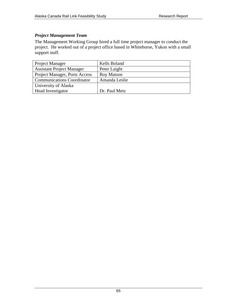# *Project Management Team*

The Management Working Group hired a full time project manager to conduct the project. He worked out of a project office based in Whitehorse, Yukon with a small support staff.

| <b>Project Manager</b>            | Kells Boland      |
|-----------------------------------|-------------------|
| <b>Assistant Project Manager</b>  | Peter Laight      |
| Project Manager, Ports Access     | <b>Roy Matson</b> |
| <b>Communications Coordinator</b> | Amanda Leslie     |
| University of Alaska              |                   |
| Head Investigator                 | Dr. Paul Metz     |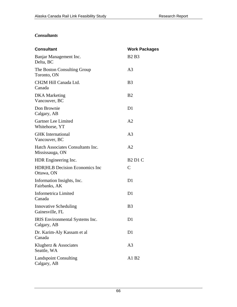# *Consultants*

| <b>Consultant</b>                                    | <b>Work Packages</b> |
|------------------------------------------------------|----------------------|
| Banjar Management Inc.<br>Delta, BC                  | <b>B2</b> B3         |
| The Boston Consulting Group<br>Toronto, ON           | A3                   |
| CH2M Hill Canada Ltd.<br>Canada                      | B <sub>3</sub>       |
| <b>DKA</b> Marketing<br>Vancouver, BC                | B <sub>2</sub>       |
| Don Brownie<br>Calgary, AB                           | D <sub>1</sub>       |
| Gartner Lee Limited<br>Whitehorse, YT                | A2                   |
| <b>GHK</b> International<br>Vancouver, BC            | A <sub>3</sub>       |
| Hatch Associates Consultants Inc.<br>Mississauga, ON | A <sub>2</sub>       |
| HDR Engineering Inc.                                 | <b>B2 D1 C</b>       |
| <b>HDR HLB</b> Decision Economics Inc<br>Ottawa, ON  | $\mathsf{C}$         |
| Information Insights, Inc.<br>Fairbanks, AK          | D1                   |
| Informetrica Limited<br>Canada                       | D1                   |
| <b>Innovative Scheduling</b><br>Gainesville, FL      | B <sub>3</sub>       |
| IRIS Environmental Systems Inc.<br>Calgary, AB       | D1                   |
| Dr. Karim-Aly Kassam et al<br>Canada                 | D1                   |
| Klugherz & Associates<br>Seattle, WA                 | A3                   |
| <b>Landspoint Consulting</b><br>Calgary, AB          | A1 B2                |